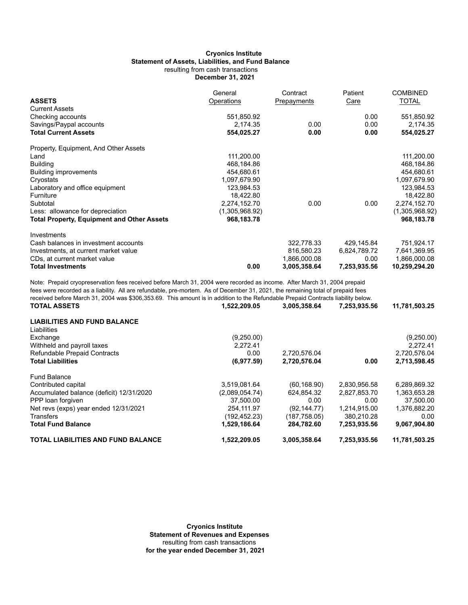## **Statement of Assets, Liabilities, and Fund Balance** resulting from cash transactions **December 31, 2021 Cryonics Institute**

|                                                                                                                                  | General        | Contract      | Patient      | <b>COMBINED</b> |
|----------------------------------------------------------------------------------------------------------------------------------|----------------|---------------|--------------|-----------------|
| <b>ASSETS</b>                                                                                                                    | Operations     | Prepayments   | Care         | <b>TOTAL</b>    |
| <b>Current Assets</b>                                                                                                            |                |               |              |                 |
| Checking accounts                                                                                                                | 551,850.92     |               | 0.00         | 551,850.92      |
| Savings/Paypal accounts                                                                                                          | 2,174.35       | 0.00          | 0.00         | 2,174.35        |
| <b>Total Current Assets</b>                                                                                                      | 554,025.27     | 0.00          | 0.00         | 554,025.27      |
| Property, Equipment, And Other Assets                                                                                            |                |               |              |                 |
| Land                                                                                                                             | 111,200.00     |               |              | 111,200.00      |
| <b>Building</b>                                                                                                                  | 468,184.86     |               |              | 468,184.86      |
| <b>Building improvements</b>                                                                                                     | 454,680.61     |               |              | 454,680.61      |
| Cryostats                                                                                                                        | 1,097,679.90   |               |              | 1,097,679.90    |
| Laboratory and office equipment                                                                                                  | 123,984.53     |               |              | 123,984.53      |
| Furniture                                                                                                                        | 18,422.80      |               |              | 18,422.80       |
| Subtotal                                                                                                                         | 2,274,152.70   | 0.00          | 0.00         | 2,274,152.70    |
| Less: allowance for depreciation                                                                                                 | (1,305,968.92) |               |              | (1,305,968.92)  |
| <b>Total Property, Equipment and Other Assets</b>                                                                                | 968, 183. 78   |               |              | 968,183.78      |
| Investments                                                                                                                      |                |               |              |                 |
| Cash balances in investment accounts                                                                                             |                | 322,778.33    | 429,145.84   | 751,924.17      |
| Investments, at current market value                                                                                             |                | 816,580.23    | 6,824,789.72 | 7,641,369.95    |
| CDs, at current market value                                                                                                     |                | 1,866,000.08  | 0.00         | 1,866,000.08    |
| <b>Total Investments</b>                                                                                                         | 0.00           | 3,005,358.64  | 7,253,935.56 | 10,259,294.20   |
| Note: Prepaid cryopreservation fees received before March 31, 2004 were recorded as income. After March 31, 2004 prepaid         |                |               |              |                 |
| fees were recorded as a liability. All are refundable, pre-mortem. As of December 31, 2021, the remaining total of prepaid fees  |                |               |              |                 |
| received before March 31, 2004 was \$306,353.69. This amount is in addition to the Refundable Prepaid Contracts liability below. |                |               |              |                 |
| <b>TOTAL ASSETS</b>                                                                                                              | 1,522,209.05   | 3.005.358.64  | 7,253,935.56 | 11,781,503.25   |
| <b>LIABILITIES AND FUND BALANCE</b>                                                                                              |                |               |              |                 |
| Liabilities                                                                                                                      |                |               |              |                 |
| Exchange                                                                                                                         | (9,250.00)     |               |              | (9,250.00)      |
| Withheld and payroll taxes                                                                                                       | 2,272.41       |               |              | 2,272.41        |
| Refundable Prepaid Contracts                                                                                                     | 0.00           | 2,720,576.04  |              | 2,720,576.04    |
| <b>Total Liabilities</b>                                                                                                         | (6,977.59)     | 2,720,576.04  | 0.00         | 2,713,598.45    |
| <b>Fund Balance</b>                                                                                                              |                |               |              |                 |
| Contributed capital                                                                                                              | 3,519,081.64   | (60, 168.90)  | 2,830,956.58 | 6,289,869.32    |
| Accumulated balance (deficit) 12/31/2020                                                                                         | (2,089,054.74) | 624,854.32    | 2,827,853.70 | 1,363,653.28    |
| PPP loan forgiven                                                                                                                | 37,500.00      | 0.00          | 0.00         | 37,500.00       |
| Net revs (exps) year ended 12/31/2021                                                                                            | 254,111.97     | (92, 144.77)  | 1,214,915.00 | 1,376,882.20    |
| <b>Transfers</b>                                                                                                                 | (192, 452.23)  | (187, 758.05) | 380,210.28   | 0.00            |
| <b>Total Fund Balance</b>                                                                                                        | 1,529,186.64   | 284,782.60    | 7,253,935.56 | 9,067,904.80    |

**TOTAL LIABILITIES AND FUND BALANCE 1,522,209.05 3,005,358.64 7,253,935.56 11,781,503.25**

**Cryonics Institute Statement of Revenues and Expenses** resulting from cash transactions  **for the year ended December 31, 2021**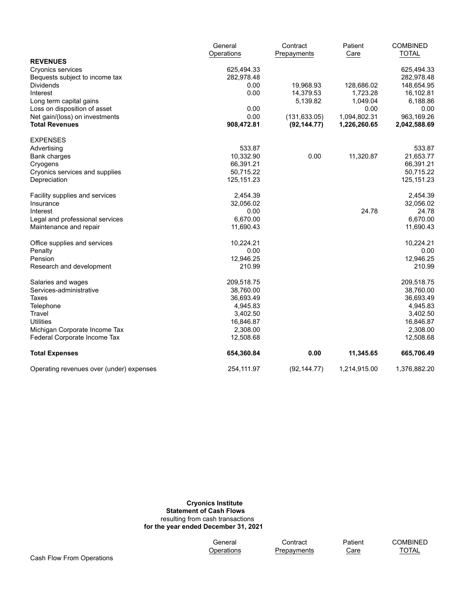|                                          | General     | Contract      | Patient      | <b>COMBINED</b> |
|------------------------------------------|-------------|---------------|--------------|-----------------|
|                                          | Operations  | Prepayments   | Care         | <b>TOTAL</b>    |
| <b>REVENUES</b>                          |             |               |              |                 |
| Cryonics services                        | 625,494.33  |               |              | 625,494.33      |
| Bequests subject to income tax           | 282,978.48  |               |              | 282,978.48      |
| Dividends                                | 0.00        | 19,968.93     | 128,686.02   | 148,654.95      |
| Interest                                 | 0.00        | 14,379.53     | 1,723.28     | 16,102.81       |
| Long term capital gains                  |             | 5,139.82      | 1,049.04     | 6,188.86        |
| Loss on disposition of asset             | 0.00        |               | 0.00         | 0.00            |
| Net gain/(loss) on investments           | 0.00        | (131, 633.05) | 1,094,802.31 | 963,169.26      |
| <b>Total Revenues</b>                    | 908,472.81  | (92, 144.77)  | 1,226,260.65 | 2,042,588.69    |
| <b>EXPENSES</b>                          |             |               |              |                 |
| Advertising                              | 533.87      |               |              | 533.87          |
| Bank charges                             | 10,332.90   | 0.00          | 11,320.87    | 21,653.77       |
| Cryogens                                 | 66,391.21   |               |              | 66,391.21       |
| Cryonics services and supplies           | 50,715.22   |               |              | 50,715.22       |
| Depreciation                             | 125, 151.23 |               |              | 125, 151. 23    |
| Facility supplies and services           | 2,454.39    |               |              | 2,454.39        |
| Insurance                                | 32,056.02   |               |              | 32,056.02       |
| Interest                                 | 0.00        |               | 24.78        | 24.78           |
| Legal and professional services          | 6,670.00    |               |              | 6,670.00        |
| Maintenance and repair                   | 11,690.43   |               |              | 11,690.43       |
| Office supplies and services             | 10,224.21   |               |              | 10,224.21       |
| Penalty                                  | 0.00        |               |              | 0.00            |
| Pension                                  | 12,946.25   |               |              | 12,946.25       |
| Research and development                 | 210.99      |               |              | 210.99          |
| Salaries and wages                       | 209,518.75  |               |              | 209,518.75      |
| Services-administrative                  | 38,760.00   |               |              | 38,760.00       |
| Taxes                                    | 36,693.49   |               |              | 36,693.49       |
| Telephone                                | 4,945.83    |               |              | 4,945.83        |
| Travel                                   | 3,402.50    |               |              | 3,402.50        |
| <b>Utilities</b>                         | 16,846.87   |               |              | 16,846.87       |
| Michigan Corporate Income Tax            | 2,308.00    |               |              | 2,308.00        |
| Federal Corporate Income Tax             | 12,508.68   |               |              | 12,508.68       |
| <b>Total Expenses</b>                    | 654,360.84  | 0.00          | 11,345.65    | 665,706.49      |
| Operating revenues over (under) expenses | 254,111.97  | (92, 144.77)  | 1,214,915.00 | 1,376,882.20    |

**Cryonics Institute Statement of Cash Flows** resulting from cash transactions  **for the year ended December 31, 2021**

> General Contract Patient COMBINED<br>
> Operations Prepayments Care TOTAL **Prepayments**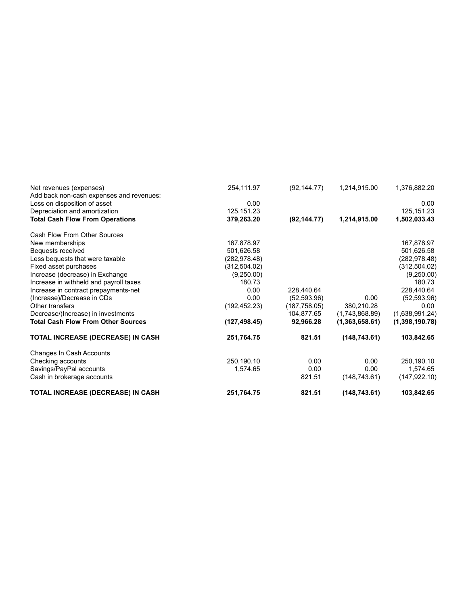| Net revenues (expenses)                   | 254,111.97    | (92, 144.77)  | 1,214,915.00   | 1,376,882.20   |
|-------------------------------------------|---------------|---------------|----------------|----------------|
| Add back non-cash expenses and revenues:  |               |               |                |                |
| Loss on disposition of asset              | 0.00          |               |                | 0.00           |
| Depreciation and amortization             | 125, 151. 23  |               |                | 125, 151. 23   |
| <b>Total Cash Flow From Operations</b>    | 379,263.20    | (92, 144.77)  | 1,214,915.00   | 1,502,033.43   |
| Cash Flow From Other Sources              |               |               |                |                |
| New memberships                           | 167,878.97    |               |                | 167,878.97     |
| Bequests received                         | 501,626.58    |               |                | 501,626.58     |
| Less bequests that were taxable           | (282, 978.48) |               |                | (282, 978.48)  |
| Fixed asset purchases                     | (312, 504.02) |               |                | (312, 504.02)  |
| Increase (decrease) in Exchange           | (9,250.00)    |               |                | (9,250.00)     |
| Increase in withheld and payroll taxes    | 180.73        |               |                | 180.73         |
| Increase in contract prepayments-net      | 0.00          | 228,440.64    |                | 228,440.64     |
| (Increase)/Decrease in CDs                | 0.00          | (52, 593.96)  | 0.00           | (52, 593.96)   |
| Other transfers                           | (192, 452.23) | (187, 758.05) | 380,210.28     | 0.00           |
| Decrease/(Increase) in investments        |               | 104,877.65    | (1,743,868.89) | (1,638,991.24) |
| <b>Total Cash Flow From Other Sources</b> | (127, 498.45) | 92,966.28     | (1,363,658.61) | (1,398,190.78) |
| TOTAL INCREASE (DECREASE) IN CASH         | 251,764.75    | 821.51        | (148, 743.61)  | 103,842.65     |
| Changes In Cash Accounts                  |               |               |                |                |
| Checking accounts                         | 250,190.10    | 0.00          | 0.00           | 250,190.10     |
| Savings/PayPal accounts                   | 1,574.65      | 0.00          | 0.00           | 1,574.65       |
| Cash in brokerage accounts                |               | 821.51        | (148, 743.61)  | (147, 922.10)  |
| TOTAL INCREASE (DECREASE) IN CASH         | 251,764.75    | 821.51        | (148, 743.61)  | 103,842.65     |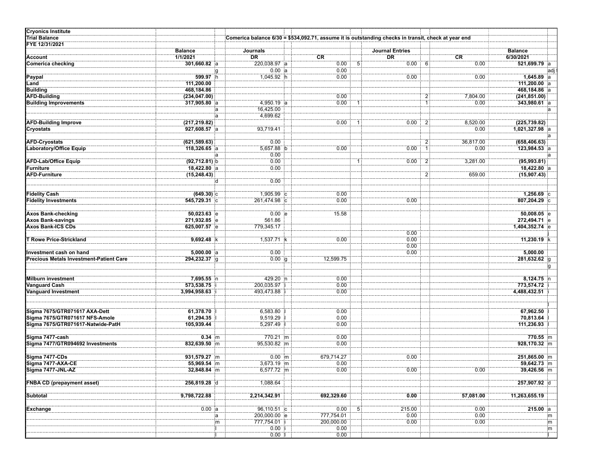| <b>Cryonics Institute</b>                      |                |                         |                                                                                                     |            |    |                        |                |           |                             |               |
|------------------------------------------------|----------------|-------------------------|-----------------------------------------------------------------------------------------------------|------------|----|------------------------|----------------|-----------|-----------------------------|---------------|
| <b>Trial Balance</b>                           |                |                         | Comerica balance 6/30 = \$534,092.71, assume it is outstanding checks in transit, check at year end |            |    |                        |                |           |                             |               |
| FYE 12/31/2021                                 | <b>Balance</b> |                         | <b>Journals</b>                                                                                     |            |    | <b>Journal Entries</b> |                |           |                             |               |
| Account                                        | 1/1/2021       |                         | <b>DR</b>                                                                                           | CR         |    | DR                     |                | CR        | <b>Balance</b><br>6/30/2021 |               |
| <b>Comerica checking</b>                       | 301,660.82 a   |                         | 220,038.97 a                                                                                        | 0.00       | 5  | 0.00                   | 6              | 0.00      | 521,699.79 a                |               |
|                                                |                | g                       | 0.00 a                                                                                              | 0.00       |    |                        |                |           |                             | adj           |
| Paypal                                         | 599.97 h       |                         | 1,045.92 h                                                                                          | 0.00       |    | 0.00                   |                | 0.00      | 1,645.89 a                  |               |
| Land                                           | 111,200.00     |                         |                                                                                                     |            |    |                        |                |           | 111,200.00 a                |               |
| <b>Building</b>                                | 468,184.86     |                         |                                                                                                     |            |    |                        |                |           | 468,184.86 a                |               |
| <b>AFD-Building</b>                            | (234, 047.00)  |                         |                                                                                                     | 0.00       |    |                        | 2:             | 7,804.00  | (241,851.00)                |               |
| <b>Building Improvements</b>                   | 317,905.80 a   |                         | 4,950.19 a                                                                                          | 0.00       | -1 |                        | 1:             | 0.00      | 343,980.61 a                |               |
|                                                |                |                         | 16,425.00                                                                                           |            |    |                        |                |           |                             | ļa            |
|                                                |                | ∤a<br>۱a                | 4,699.62                                                                                            |            |    |                        |                |           |                             |               |
|                                                |                |                         |                                                                                                     | 0.00       |    |                        |                |           |                             |               |
| <b>AFD-Building Improve</b>                    | (217, 219.82)  |                         |                                                                                                     |            |    | 0.00                   | 2:             | 8,520.00  | (225, 739.82)               |               |
| Cryostats                                      | 927,608.57 a   |                         | 93,719.41                                                                                           |            |    |                        |                | 0.00      | 1,021,327.98 a              |               |
|                                                |                |                         |                                                                                                     |            |    |                        |                |           |                             | ۱a            |
| <b>AFD-Cryostats</b>                           | (621, 589.63)  |                         | 0.00                                                                                                |            |    |                        | 2              | 36,817.00 | (658, 406.63)               |               |
| Laboratory/Office Equip                        | 118,326.65 a   |                         | 5,657.88 b                                                                                          | 0.00       |    | 0.00                   | $\mathbf{1}$   | 0.00      | 123,984.53 a                |               |
|                                                |                | ۱a                      | 0.00                                                                                                |            |    |                        |                |           |                             | la            |
| AFD-Lab/Office Equip                           | (92, 712.81) b |                         | 0.00                                                                                                |            |    | 0.00                   | $\overline{2}$ | 3,281.00  | (95, 993.81)                |               |
| Furniture                                      | 18,422.80 a    |                         | 0.00                                                                                                |            |    |                        |                |           | 18,422.80 a                 |               |
| <b>AFD-Furniture</b>                           | (15, 248.43)   |                         |                                                                                                     |            |    |                        | 2:             | 659.00    | (15, 907.43)                |               |
|                                                |                | d                       | 0.00                                                                                                |            |    |                        |                |           |                             |               |
|                                                |                |                         |                                                                                                     |            |    |                        |                |           |                             |               |
| <b>Fidelity Cash</b>                           | $(649.30)$ c   |                         | 1,905.99 c                                                                                          | 0.00       |    |                        |                |           | 1,256.69 C                  |               |
| <b>Fidelity Investments</b>                    | 545,729.31 C   |                         | 261,474.98 c                                                                                        | 0.00       |    | 0.00                   |                |           | 807,204.29 C                |               |
|                                                |                |                         |                                                                                                     |            |    |                        |                |           |                             |               |
| <b>Axos Bank-checking</b>                      | $50,023.63$ e  |                         | $0.00$ e                                                                                            | 15.58      |    |                        |                |           | 50,008.05 e                 |               |
| <b>Axos Bank-savings</b>                       | 271,932.85 e   |                         | 561.86                                                                                              |            |    |                        |                |           | 272,494.71 e                |               |
| <b>Axos Bank-ICS CDs</b>                       | 625,007.57 e   |                         | 779,345.17                                                                                          |            |    |                        |                |           | 1,404,352.74 e              |               |
|                                                |                |                         |                                                                                                     |            |    | 0.00                   |                |           |                             |               |
| <b>T Rowe Price-Strickland</b>                 | 9,692.48 k     |                         | 1,537.71 k                                                                                          | 0.00       |    | 0.00                   |                |           | 11,230.19 k                 |               |
|                                                |                |                         |                                                                                                     |            |    | 0.00                   |                |           |                             |               |
| Investment cash on hand                        | $5,000.00$ a   |                         | 0.00                                                                                                |            |    | 0.00                   |                |           | 5,000.00                    |               |
| <b>Precious Metals Investment-Patient Care</b> | 294,232.37 g   |                         | $0.00$ g                                                                                            | 12,599.75  |    |                        |                |           | 281,632.62 g                |               |
|                                                |                |                         |                                                                                                     |            |    |                        |                |           |                             | g             |
|                                                |                |                         |                                                                                                     |            |    |                        |                |           |                             |               |
| <b>Milburn investment</b>                      | 7,695.55 n     |                         | 429.20 in                                                                                           | 0.00       |    |                        |                |           | 8,124.75 in                 |               |
| <b>Vanguard Cash</b>                           | 573,538.75     |                         | 200,035.97 ii                                                                                       | 0.00       |    |                        |                |           | 773,574.72                  |               |
| <b>Vanguard Investment</b>                     | 3,994,958.63   |                         | 493,473.88                                                                                          | 0.00       |    |                        |                |           | 4,488,432.51                |               |
|                                                |                |                         |                                                                                                     |            |    |                        |                |           |                             |               |
|                                                |                |                         |                                                                                                     |            |    |                        |                |           |                             |               |
| Sigma 7675/GTR071617 AXA-Dett                  | 61,378.70      |                         | 6,583.80                                                                                            | 0.00       |    |                        |                |           | 67,962.50                   |               |
| Sigma 7675/GTR071617 NFS-Amole                 | 61,294.35      |                         | 9,519.29                                                                                            | 0.00       |    |                        |                |           | 70,813.64                   |               |
| Sigma 7675/GTR071617-Natwide-PatH              | 105,939.44     |                         | 5,297.49                                                                                            | 0.00       |    |                        |                |           | 111,236.93                  |               |
|                                                |                |                         |                                                                                                     |            |    |                        |                |           |                             |               |
| Sigma 7477-cash                                | $0.34$ m       |                         | 770.21 im                                                                                           | 0.00       |    |                        |                |           | 770.55 m                    |               |
| Sigma 7477/GTR094692 Investments               | 832,639.50 m   |                         | 95,530.82 im                                                                                        | 0.00       |    |                        |                |           | 928,170.32 m                |               |
|                                                |                |                         |                                                                                                     |            |    |                        |                |           |                             |               |
| Sigma 7477-CDs                                 | 931,579.27 m   |                         | $0.00$ m                                                                                            | 679,714.27 |    | 0.00                   |                |           | 251,865.00 m                |               |
| Sigma 7477-AXA-CE                              | 55,969.54 m    |                         | 3,673.19 im                                                                                         | 0.00       |    |                        |                |           | 59,642.73 m                 |               |
| Sigma 7477-JNL-AZ                              | 32,848.84 m    |                         | 6,577.72 m                                                                                          | 0.00       |    | 0.00                   |                | 0.00      | 39,426.56 m                 |               |
|                                                |                |                         |                                                                                                     |            |    |                        |                |           |                             |               |
| <b>FNBA CD (prepayment asset)</b>              | 256,819.28 d   |                         | 1,088.64                                                                                            |            |    |                        |                |           | 257,907.92 d                |               |
|                                                |                |                         |                                                                                                     |            |    |                        |                |           |                             |               |
| <b>Subtotal</b>                                | 9,798,722.88   |                         | 2,214,342.91                                                                                        | 692,329.60 |    | 0.00                   |                | 57,081.00 | 11,263,655.19               |               |
|                                                |                |                         |                                                                                                     |            |    |                        |                |           |                             |               |
| <b>Exchange</b>                                | $0.00$ a       |                         | $96,110.51$ :c                                                                                      | 0.00       | 5  | 215.00                 |                | 0.00      | $215.00$ a                  |               |
|                                                |                | ∤a                      | 200,000.00 le                                                                                       | 777,754.01 |    | 0.00                   |                | 0.00      |                             | $\frac{m}{m}$ |
|                                                |                | $\overline{\mathsf{m}}$ | 777,754.01 i                                                                                        | 200,000.00 |    | 0.00                   |                | 0.00      |                             |               |
|                                                |                |                         | $0.00$ i                                                                                            | 0.00       |    |                        |                |           |                             | m             |
|                                                |                |                         | $0.00$                                                                                              | 0.00       |    |                        |                |           |                             |               |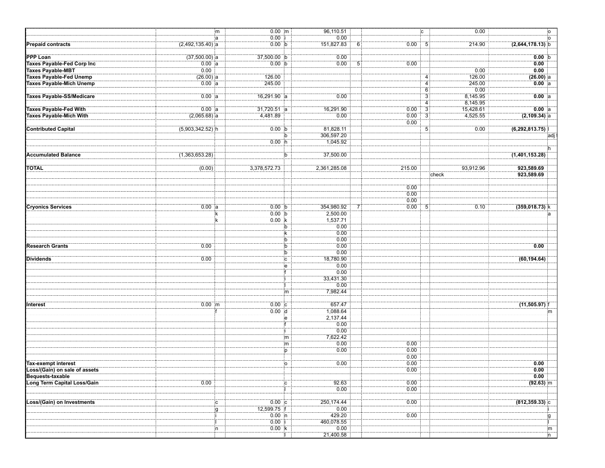|                                                        | $\mathsf{m}$       | $0.00$ m      | 96,110.51         |        | $ {\bf c} $    | 0.00      | $\overline{O}$      |
|--------------------------------------------------------|--------------------|---------------|-------------------|--------|----------------|-----------|---------------------|
|                                                        | a                  | $0.00$ ii     | 0.00              |        |                |           | $\overline{10}$     |
| <b>Prepaid contracts</b>                               | $(2,492,135.40)$ a | 0.00 b        | 151,827.83<br>- 6 | 0.00   | 5              | 214.90    | (2,644,178.13)      |
| <b>PPP Loan</b>                                        |                    | 37,500.00 b   | 0.00              |        |                |           | 0.00 b              |
|                                                        | $(37,500.00)$ a    | 0.00:b        | 0.00              |        |                |           | 0.00                |
| <b>Taxes Payable-Fed Corp Inc</b><br>Taxes Payable-MBT | 0.00 a<br>0.00     |               | 5 <sup>5</sup>    | 0.00   |                | 0.00      | 0.00                |
|                                                        |                    |               |                   |        |                |           |                     |
| <b>Taxes Payable-Fed Unemp</b>                         | $(26.00)$ a        | 126.00        |                   |        | $\overline{4}$ | 126.00    | $(26.00)$ a         |
| <b>Taxes Payable-Mich Unemp</b>                        | $0.00$ a           | 245.00        |                   |        | $\overline{4}$ | 245.00    | 0.00 a              |
|                                                        |                    |               |                   |        | 6              | 0.00      |                     |
| <b>Taxes Payable-SS/Medicare</b>                       | $0.00$ a           | 16,291.90 a   | 0.00              |        | $\overline{3}$ | 8,145.95  | $\overline{0.00}$ a |
|                                                        |                    |               |                   |        | $\overline{4}$ | 8,145.95  |                     |
| <b>Taxes Payable-Fed With</b>                          | 0.00 a             | $31,720.51$ a | 16,291.90         | 0.00   | $\overline{3}$ | 15,428.61 | $0.00$ a            |
| <b>Taxes Payable-Mich With</b>                         | $(2,065.68)$ a     | 4,481.89      | 0.00              | 0.00   | 3 <sup>1</sup> | 4,525.55  | $(2, 109.34)$ a     |
|                                                        |                    |               |                   | 0.00   |                |           |                     |
| <b>Contributed Capital</b>                             | $(5,903,342.52)$ h | $0.00$ b      | 81,828.11         |        | $\overline{5}$ | 0.00      | (6, 292, 813.75)    |
|                                                        |                    | ÷b            | 306,597.20        |        |                |           | ¦adj                |
|                                                        |                    | $0.00$ h      | 1,045.92          |        |                |           |                     |
|                                                        |                    |               |                   |        |                |           |                     |
|                                                        |                    |               |                   |        |                |           | ¦h                  |
| <b>Accumulated Balance</b>                             | (1,363,653.28)     | ¦b            | 37,500.00         |        |                |           | (1,401,153.28)      |
|                                                        |                    |               |                   |        |                |           |                     |
| <b>TOTAL</b>                                           | (0.00)             | 3,378,572.73  | 2,361,285.08      | 215.00 |                | 93,912.96 | 923,589.69          |
|                                                        |                    |               |                   |        |                | icheck    | 923,589.69          |
|                                                        |                    |               |                   |        |                |           |                     |
|                                                        |                    |               |                   | 0.00   |                |           |                     |
|                                                        |                    |               |                   | 0.00   |                |           |                     |
|                                                        |                    |               |                   | 0.00   |                |           |                     |
| <b>Cryonics Services</b>                               | 0.00 a             | $0.00$ b      | 354,980.92        | 0.00   | 5              | 0.10      | $(359,018.73)$ k    |
|                                                        |                    | $0.00$ b      | 2,500.00          |        |                |           | ¦a                  |
|                                                        | lk.                | 0.00 k        | 1,537.71          |        |                |           |                     |
|                                                        |                    |               |                   |        |                |           |                     |
|                                                        |                    | þ             | 0.00              |        |                |           |                     |
|                                                        |                    | ¦k            | 0.00              |        |                |           |                     |
|                                                        |                    | $\frac{b}{b}$ | 0.00              |        |                |           |                     |
| <b>Research Grants</b>                                 | 0.00               |               | 0.00              |        |                |           | 0.00                |
|                                                        |                    |               | 0.00              |        |                |           |                     |
| <b>Dividends</b>                                       | $\overline{0.00}$  | $\frac{1}{c}$ | 18,780.90         |        |                |           | (60, 194.64)        |
|                                                        |                    |               | 0.00              |        |                |           |                     |
|                                                        |                    | $\frac{e}{f}$ | 0.00              |        |                |           |                     |
|                                                        |                    |               | 33,431.30         |        |                |           |                     |
|                                                        |                    |               | 0.00              |        |                |           |                     |
|                                                        |                    |               | 7,982.44          |        |                |           |                     |
|                                                        |                    | im.           |                   |        |                |           |                     |
|                                                        |                    |               |                   |        |                |           |                     |
| Interest                                               | $0.00$ m           | $0.00$ c      | 657.47            |        |                |           | $(11,505.97)$ f     |
|                                                        |                    | $0.00$ d      | 1,088.64          |        |                |           | m                   |
|                                                        |                    | e             | 2,137.44          |        |                |           |                     |
|                                                        |                    |               | 0.00              |        |                |           |                     |
|                                                        |                    |               | 0.00              |        |                |           |                     |
|                                                        |                    | im i          | 7,622.42          |        |                |           |                     |
|                                                        |                    | im            | 0.00              | 0.00   |                |           |                     |
|                                                        |                    | :p            | 0.00              | 0.00   |                |           |                     |
|                                                        |                    |               |                   | 0.00   |                |           |                     |
| <b>Tax-exempt interest</b>                             |                    |               | 0.00              | 0.00   |                |           | 0.00                |
|                                                        |                    | <u>¦о</u>     |                   |        |                |           |                     |
| Loss/(Gain) on sale of assets                          |                    |               |                   | 0.00   |                |           | $\overline{0.00}$   |
| Bequests-taxable                                       |                    |               |                   |        |                |           | 0.00                |
| Long Term Capital Loss/Gain                            | 0.00               | ÷С            | 92.63             | 0.00   |                |           | $(92.63)$ m         |
|                                                        |                    |               | 0.00              | 0.00   |                |           |                     |
|                                                        |                    |               |                   |        |                |           |                     |
| Loss/(Gain) on Investments                             | $ {\bf c} $        | $0.00$ c      | 250, 174.44       | 0.00   |                |           | $(812, 359.33)$ c   |
|                                                        | g                  | 12,599.75     | 0.00              |        |                |           |                     |
|                                                        |                    | $0.00$ in     | 429.20            | 0.00   |                |           | .g                  |
|                                                        |                    | $0.00$ i      | 460,078.55        |        |                |           | л                   |
|                                                        |                    |               |                   |        |                |           |                     |
|                                                        | ∤n                 | 0.00 k        | 0.00              |        |                |           | m                   |
|                                                        |                    | Ш.            | 21,400.58         |        |                |           | $\frac{1}{n}$       |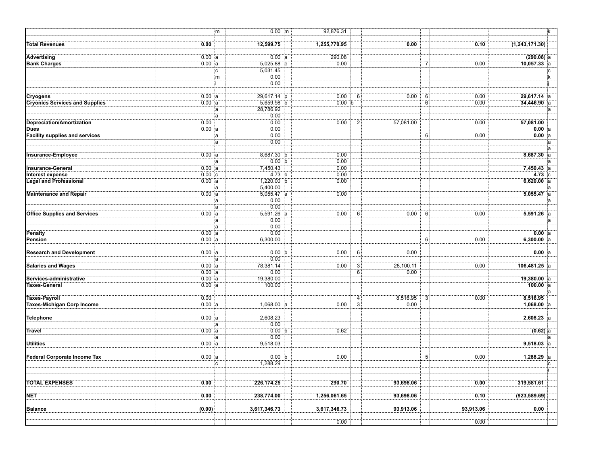|                                       |          | m              | $0.00$ ; m ;           | 92,876.31    |                |           |                  |           |                | $\overline{\mathbf{k}}$ |
|---------------------------------------|----------|----------------|------------------------|--------------|----------------|-----------|------------------|-----------|----------------|-------------------------|
|                                       |          |                |                        |              |                |           |                  |           |                |                         |
| <b>Total Revenues</b>                 | 0.00     |                | 12,599.75              | 1,255,770.95 |                | 0.00      |                  | 0.10      | (1,243,171.30) |                         |
| Advertising                           | $0.00$ a |                | $0.00$ a               | 290.08       |                |           |                  |           | $(290.08)$ a   |                         |
| <b>Bank Charges</b>                   | 0.00 a   |                | 5,025.88 ie            | 0.00         |                |           | $\overline{7}$   | 0.00      | 10,057.33 a    |                         |
|                                       |          | $\overline{c}$ | 5,031.45               |              |                |           |                  |           |                | $\overline{c}$          |
|                                       |          | m              | 0.00                   |              |                |           |                  |           |                | ίk                      |
|                                       |          |                | 0.00                   |              |                |           |                  |           |                |                         |
| Cryogens                              | 0.00 a   |                | 29,617.14 p            | 0.00         | - 6            | 0.00      | 6                | 0.00      | 29,617.14 a    |                         |
| <b>Cryonics Services and Supplies</b> | $0.00$ a |                | 5,659.98 b             | $0.00$ b     |                |           | 6                | 0.00      | 34,446.90 a    |                         |
|                                       |          | Ιa             | 28,786.92              |              |                |           |                  |           |                | ۱a                      |
|                                       |          | $\overline{a}$ | 0.00                   |              |                |           |                  |           |                |                         |
| Depreciation/Amortization             | 0.00     |                | 0.00                   | 0.00         | $\overline{2}$ | 57,081.00 |                  | 0.00      | 57,081.00      |                         |
| Dues                                  | 0.00 a   |                | 0.00                   |              |                |           |                  |           | $0.00$ a       |                         |
| <b>Facility supplies and services</b> |          | a              | 0.00<br>0.00           |              |                |           | - 6<br>6         | 0.00      | 0.00 a         |                         |
|                                       |          | $\overline{a}$ |                        |              |                |           |                  |           |                | ļa                      |
| Insurance-Employee                    | 0.00 a   |                | 8,687.30 b             | 0.00         |                |           |                  |           | 8,687.30 a     |                         |
|                                       |          | $\mathsf{a}$   | 0.00:b                 | 0.00         |                |           |                  |           |                |                         |
| <b>Insurance-General</b>              | 0.00 a   |                | 7,450.43               | 0.00         |                |           |                  |           | $7,450.43$ a   |                         |
| Interest expense                      | $0.00$ c |                | 4.73 b                 | 0.00         |                |           |                  |           | 4.73 ic        |                         |
| <b>Legal and Professional</b>         | 0.00 a   |                | 1,220.00 b             | 0.00         |                |           |                  |           | $6,620.00$ a   |                         |
| <b>Maintenance and Repair</b>         | 0.00 a   | Ιa             | 5,400.00<br>5,055.47 a | 0.00         |                |           |                  |           | $5,055.47$ a   |                         |
|                                       |          |                | 0.00                   |              |                |           |                  |           |                | ìа                      |
|                                       |          | $\frac{a}{a}$  | 0.00                   |              |                |           |                  |           |                |                         |
| <b>Office Supplies and Services</b>   | $0.00$ a |                | 5,591.26 a             | 0.00         | 6              | 0.00      | 6                | 0.00      | $5,591.26$ a   |                         |
|                                       |          | $\overline{a}$ | 0.00                   |              |                |           |                  |           |                | la                      |
|                                       |          | a              | 0.00                   |              |                |           |                  |           |                |                         |
| Penalty                               | 0.00 a   |                | 0.00                   |              |                |           |                  |           | 0.00 a         |                         |
| Pension                               | 0.00 a   |                | 6,300.00               |              |                |           | $6 \overline{6}$ | 0.00      | 6,300.00 a     |                         |
| <b>Research and Development</b>       | 0.00 a   |                | 0.00                   | 0.00         | 6              | 0.00      |                  |           | 0.00 a         |                         |
|                                       |          | a              | 0.00                   |              |                |           |                  |           |                |                         |
| <b>Salaries and Wages</b>             | 0.00 a   |                | 78,381.14              | 0.00         | 3              | 28,100.11 |                  | 0.00      | 106,481.25 a   |                         |
|                                       | 0.00 a   |                | 0.00                   |              | 6              | 0.00      |                  |           |                |                         |
| Services-administrative               | 0.00 a   |                | 19,380.00<br>100.00    |              |                |           |                  |           | 19,380.00 a    |                         |
| Taxes-General                         | $0.00$ a |                |                        |              |                |           |                  |           | $100.00$ a     | įа                      |
| <b>Taxes-Payroll</b>                  | 0.00     |                |                        |              | 4              | 8,516.95  | $\overline{3}$   | 0.00      | 8,516.95       |                         |
| <b>Taxes-Michigan Corp Income</b>     | 0.00 a   |                | 1,068.00 a             | 0.00         | 3              | 0.00      |                  |           | $1,068.00$ a   |                         |
|                                       |          |                |                        |              |                |           |                  |           |                |                         |
| <b>Telephone</b>                      | 0.00 a   |                | 2,608.23               |              |                |           |                  |           | 2,608.23 a     |                         |
|                                       |          | a              | 0.00                   |              |                |           |                  |           |                |                         |
| <b>Travel</b>                         | 0.00 a   | a              | $0.00$ b<br>0.00       | 0.62         |                |           |                  |           | (0.62) a       |                         |
| <b>Utilities</b>                      | $0.00$ a |                | 9,518.03               |              |                |           |                  |           | $9,518.03$ a   |                         |
|                                       |          |                |                        |              |                |           |                  |           |                |                         |
| <b>Federal Corporate Income Tax</b>   | $0.00$ a |                | 0.00 b                 | 0.00         |                |           | $\overline{5}$   | 0.00      | 1,288.29 a     |                         |
|                                       |          | C              | 1,288.29               |              |                |           |                  |           |                | ١c                      |
|                                       |          |                |                        |              |                |           |                  |           |                |                         |
|                                       | 0.00     |                |                        | 290.70       |                |           |                  | 0.00      | 319,581.61     |                         |
| <b>TOTAL EXPENSES</b>                 |          |                | 226,174.25             |              |                | 93,698.06 |                  |           |                |                         |
| <b>NET</b>                            | 0.00     |                | 238,774.00             | 1,256,061.65 |                | 93,698.06 |                  | 0.10      | (923, 589.69)  |                         |
|                                       |          |                |                        |              |                |           |                  |           |                |                         |
| <b>Balance</b>                        | (0.00)   |                | 3,617,346.73           | 3,617,346.73 |                | 93,913.06 |                  | 93,913.06 | 0.00           |                         |
|                                       |          |                |                        |              |                |           |                  |           |                |                         |
|                                       |          |                |                        | 0.00         |                |           |                  | 0.00      |                |                         |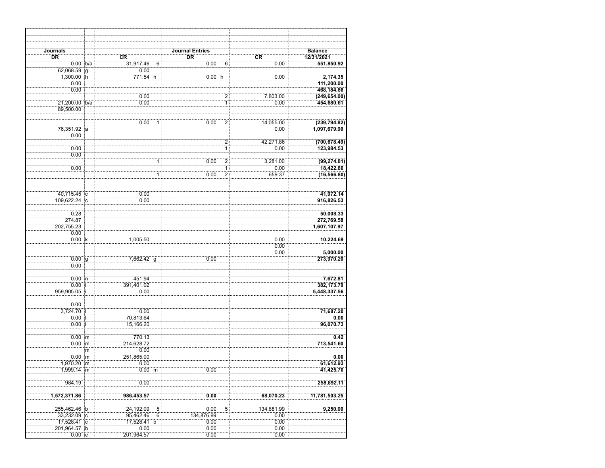| Journals                   |    |               |                 | <b>Journal Entries</b> |                |            | <b>Balance</b> |
|----------------------------|----|---------------|-----------------|------------------------|----------------|------------|----------------|
| <b>DR</b>                  |    | <b>CR</b>     |                 | DR                     |                | <b>CR</b>  | 12/31/2021     |
| $0.00$ b/a                 |    | 31,917.46     | $6\phantom{1}6$ | 0.00                   | 6              | 0.00       | 551,850.92     |
| 62,068.59 g                |    | 0.00          |                 |                        |                |            |                |
| 1,300.00 h                 |    | 771.54 h      |                 | 0.00 h                 |                | 0.00       | 2,174.35       |
| 0.00                       |    |               |                 |                        |                |            | 111,200.00     |
| 0.00                       |    |               |                 |                        |                |            | 468,184.86     |
|                            |    | 0.00          |                 |                        | $\overline{2}$ | 7,803.00   | (249, 654.00)  |
| 21,200.00 b/a<br>89,500.00 |    | 0.00          |                 |                        | $\overline{1}$ | 0.00       | 454,680.61     |
|                            |    |               |                 |                        |                |            |                |
|                            |    | 0.00          |                 |                        |                |            |                |
|                            |    |               | 1               | 0.00                   | $\overline{2}$ | 14,055.00  | (239, 794.82)  |
| 76,351.92 a<br>0.00        |    |               |                 |                        |                | 0.00       | 1,097,679.90   |
|                            |    |               |                 |                        | $\overline{2}$ | 42,271.86  | (700,678.49)   |
| 0.00                       |    |               |                 |                        | Ŧ              | 0.00       | 123,984.53     |
| 0.00                       |    |               |                 |                        |                |            |                |
|                            |    |               | 1               | 0.00                   | $\overline{2}$ | 3,281.00   | (99, 274.81)   |
| 0.00                       |    |               |                 |                        | Ï              | 0.00       | 18,422.80      |
|                            |    |               | '11             | 0.00                   | $\overline{2}$ | 659.37     | (16, 566.80)   |
|                            |    |               |                 |                        |                |            |                |
| 40,715.45 c                |    | 0.00          |                 |                        |                |            | 41,972.14      |
| 109,622.24 c               |    | 0.00          |                 |                        |                |            | 916,826.53     |
|                            |    |               |                 |                        |                |            |                |
| 0.28                       |    |               |                 |                        |                |            | 50,008.33      |
| 274.87                     |    |               |                 |                        |                |            | 272,769.58     |
| 202,755.23                 |    |               |                 |                        |                |            | 1,607,107.97   |
| 0.00                       |    |               |                 |                        |                |            |                |
| $0.00$ k                   |    | 1,005.50      |                 |                        |                | 0.00       | 10,224.69      |
|                            |    |               |                 |                        |                | 0.00       |                |
|                            |    |               |                 |                        |                | 0.00       | 5,000.00       |
| 0.00                       |    | 7,662.42      | ۱g              | 0.00                   |                |            | 273,970.20     |
| 0.00                       |    |               |                 |                        |                |            |                |
|                            |    |               |                 |                        |                |            |                |
| 0.00 in                    |    | 451.94        |                 |                        |                |            | 7,672.81       |
| $0.00$ i                   |    | 391,401.02    |                 |                        |                |            | 382,173.70     |
| 959,905.05 i               |    | 0.00          |                 |                        |                |            | 5,448,337.56   |
|                            |    |               |                 |                        |                |            |                |
| 0.00                       |    |               |                 |                        |                |            |                |
| 3,724.70                   |    | 0.00          |                 |                        |                |            | 71,687.20      |
| $0.00$                     |    | 70,813.64     |                 |                        |                |            | 0.00           |
| 0.00                       |    | 15,166.20     |                 |                        |                |            | 96,070.73      |
|                            |    |               |                 |                        |                |            |                |
| $0.00$ m                   |    | 770.13        |                 |                        |                |            | 0.42           |
| $0.00$ m                   |    | 214,628.72    |                 |                        |                |            | 713,541.60     |
|                            | ¦m | 0.00          |                 |                        |                |            |                |
| $0.00$ m                   |    | 251,865.00    |                 |                        |                |            | 0.00           |
| 1,970.20 m                 |    | 0.00          |                 |                        |                |            | 61,612.93      |
| $1.999.14 \, m$            |    | $0.00$ m      |                 | 0.00                   |                |            | 41,425.70      |
| 984.19                     |    | 0.00          |                 |                        |                |            | 258,892.11     |
| 1,572,371.86               |    | 986,453.57    |                 | 0.00                   |                | 68,070.23  | 11,781,503.25  |
|                            |    |               |                 |                        |                |            |                |
| 255,462.46 b               |    | 24,192.09     | 5               | 0.00                   | 5              | 134,881.99 | 9,250.00       |
| 33,232.09 c                |    | 95,462.46     | 6               | 134,876.99             |                | 0.00       |                |
| 17,528.41 <b>C</b>         |    | $17,528.41$ b |                 | 0.00                   |                | 0.00       |                |
| 201,964.57 b               |    | 0.00          |                 | 0.00                   |                | 0.00       |                |
| 0.00 e                     |    | 201,964.57    |                 | 0.00                   |                | 0.00       |                |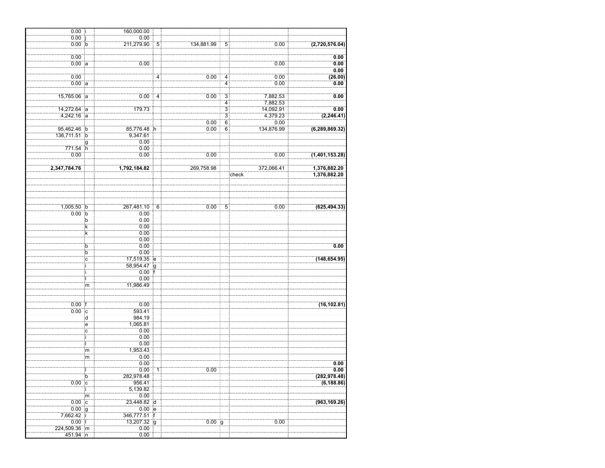| $0.00$ i                   |                         | 160,000.00   |                |            |                |            |                  |
|----------------------------|-------------------------|--------------|----------------|------------|----------------|------------|------------------|
| $0.00$ j                   |                         | 0.00         |                |            |                |            |                  |
| $0.00$ b                   |                         | 211,279.90   | 5              | 134,881.99 | 5              | 0.00       | (2,720,576.04)   |
|                            |                         |              |                |            |                |            |                  |
| 0.00                       |                         |              |                |            |                |            | 0.00             |
| $0.00$ a                   |                         | 0.00         |                |            |                | 0.00       | 0.00             |
|                            |                         |              |                |            |                |            | 0.00             |
| 0.00                       |                         |              | $\overline{4}$ | 0.00       | 4              | 0.00       | (26.00)          |
| 0.00 a                     |                         |              |                |            | $\overline{4}$ | 0.00       | 0.00             |
|                            |                         |              |                |            |                |            |                  |
| 15,765.06 a                |                         | 0.00         | $\overline{4}$ | 0.00       | $\overline{3}$ | 7,882.53   | 0.00             |
|                            |                         |              |                |            | $\overline{4}$ | 7,882.53   |                  |
| 14,272.64 a                |                         | 179.73       |                |            | $\dddot{3}$    | 14,092.91  | 0.00             |
| 4,242.16 a                 |                         |              |                |            | $\overline{3}$ | 4,379.23   | (2, 246.41)      |
|                            |                         |              |                | 0.00       | $\overline{6}$ | 0.00       |                  |
| 95,462.46 b                |                         | 85,776.48 h  |                | 0.00       | 6              | 134,876.99 | (6, 289, 869.32) |
| 136,711.51 b               |                         | 9,347.61     |                |            |                |            |                  |
|                            | :g                      | 0.00         |                |            |                |            |                  |
| 771.54 h                   |                         | 0.00         |                |            |                |            |                  |
| 0.00                       |                         | 0.00         |                | 0.00       |                | 0.00       | (1,401,153.28)   |
|                            |                         |              |                |            |                |            |                  |
| 2,347,784.76               |                         | 1,792,184.82 |                | 269,758.98 |                | 372,066.41 | 1,376,882.20     |
|                            |                         |              |                |            |                | check      | 1,376,882.20     |
|                            |                         |              |                |            |                |            |                  |
|                            |                         |              |                |            |                |            |                  |
|                            |                         |              |                |            |                |            |                  |
|                            |                         |              |                |            |                |            |                  |
|                            |                         |              |                |            |                |            |                  |
| $1,005.50$ b               |                         | 267,481.10   | $\overline{6}$ | 0.00       | $\overline{5}$ | 0.00       | (625, 494.33)    |
| 0.00 b                     |                         | 0.00         |                |            |                |            |                  |
|                            | :b                      | 0.00         |                |            |                |            |                  |
|                            | $\overline{\mathbf{k}}$ | 0.00         |                |            |                |            |                  |
|                            | ΪK                      | 0.00         |                |            |                |            |                  |
|                            |                         | 0.00         |                |            |                |            |                  |
|                            | ۱b:                     | 0.00         |                |            |                |            | 0.00             |
|                            | :b                      | 0.00         |                |            |                |            |                  |
|                            | ¦c                      | 17,519.35 e  |                |            |                |            | (148, 654.95)    |
|                            |                         | 58,954.47 g  |                |            |                |            |                  |
| ji.<br>Ji                  |                         | $0.00$ f     |                |            |                |            |                  |
|                            | ij.                     | 0.00         |                |            |                |            |                  |
|                            | ξm                      | 11,986.49    |                |            |                |            |                  |
|                            |                         |              |                |            |                |            |                  |
|                            |                         |              |                |            |                |            |                  |
| 0.00 if                    |                         | 0.00         |                |            |                |            | (16, 102.81)     |
| $0.00$ $c$                 |                         | 593.41       |                |            |                |            |                  |
|                            | d                       | 984.19       |                |            |                |            |                  |
|                            | ÷е                      | 1,065.81     |                |            |                |            |                  |
|                            | jc.                     | 0.00         |                |            |                |            |                  |
| Ţ                          |                         | 0.00         |                |            |                |            |                  |
| Ţ                          |                         | 0.00         |                |            |                |            |                  |
|                            | ÷m                      | 1,953.43     |                |            |                |            |                  |
|                            | ∶m                      | 0.00         |                |            |                |            |                  |
|                            |                         | 0.00         |                |            |                |            | 0.00             |
| ì.                         |                         | $0.00$ 1     |                | 0.00       |                |            | 0.00             |
|                            |                         |              |                |            |                |            | (282, 978.48)    |
| $\frac{b}{0.00}$           |                         | 282,978.48   |                |            |                |            | (6, 188.86)      |
|                            |                         | 956.41       |                |            |                |            |                  |
|                            | $\frac{1}{m}$           | 5,139.82     |                |            |                |            |                  |
|                            |                         | 0.00         |                |            |                |            |                  |
| $0.00$ $c$                 |                         | 23,448.82 d  |                |            |                |            | (963, 169.26)    |
| $0.00$ g                   |                         | 0.00         |                |            |                |            |                  |
| 7,662.42                   |                         | 346,777.51 f |                |            |                |            |                  |
| 0.00                       |                         | 13,207.32 g  |                | $0.00$ g   |                | 0.00       |                  |
| 224,509.36 im<br>451.94 in |                         | 0.00         |                |            |                |            |                  |
|                            |                         | 0.00         |                |            |                |            |                  |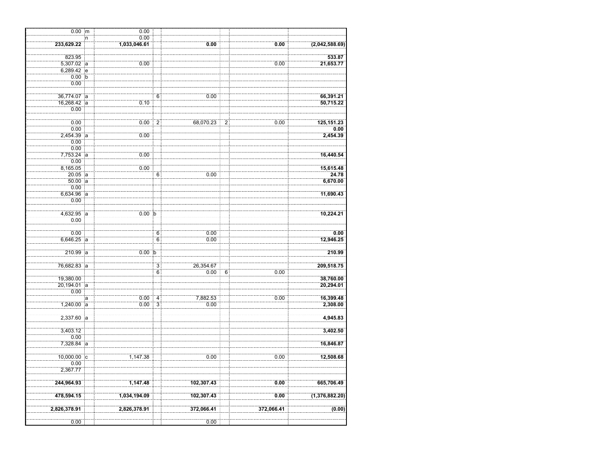| $0.00$ m     | 0.00              |                |            |                |            |                   |
|--------------|-------------------|----------------|------------|----------------|------------|-------------------|
| ξ'n.         | 0.00              |                |            |                |            |                   |
| 233,629.22   | 1,033,046.61      |                | 0.00       |                | 0.00       | (2,042,588.69)    |
| 823.95       |                   |                |            |                |            | 533.87            |
| 5,307.02 a   | 0.00              |                |            |                | 0.00       | 21,653.77         |
| $6,289.42$ e |                   |                |            |                |            |                   |
|              |                   |                |            |                |            |                   |
| 0.00:b       |                   |                |            |                |            |                   |
| 0.00         |                   |                |            |                |            |                   |
| 36,774.07 a  |                   | $\overline{6}$ | 0.00       |                |            | 66,391.21         |
| 16,268.42 a  |                   |                |            |                |            | 50,715.22         |
| 0.00         | 0.10              |                |            |                |            |                   |
|              |                   |                |            |                |            |                   |
| 0.00         | 0.00              | $\overline{2}$ | 68,070.23  | $\overline{2}$ | 0.00       | 125, 151.23       |
| 0.00         |                   |                |            |                |            | 0.00              |
| 2,454.39 a   | 0.00              |                |            |                |            | 2,454.39          |
| 0.00         |                   |                |            |                |            |                   |
| 0.00         |                   |                |            |                |            |                   |
| 7,753.24 a   | $\overline{0.00}$ |                |            |                |            | 16,440.54         |
| 0.00         |                   |                |            |                |            |                   |
| 8,165.05     | 0.00              |                |            |                |            | 15,615.48         |
| $20.05$ a    |                   |                | 0.00       |                |            |                   |
|              |                   | 6              |            |                |            | 24.78<br>6,670.00 |
| $50.00$ a    |                   |                |            |                |            |                   |
| 0.00         |                   |                |            |                |            |                   |
| 6,634.96 a   |                   |                |            |                |            | 11,690.43         |
| 0.00         |                   |                |            |                |            |                   |
| $4,632.95$ a | $0.00$ b          |                |            |                |            | 10,224.21         |
| 0.00         |                   |                |            |                |            |                   |
|              |                   |                |            |                |            |                   |
| 0.00         |                   | 6              | 0.00       |                |            | 0.00              |
| 6,646.25 a   |                   | 6              | 0.00       |                |            | 12,946.25         |
|              |                   |                |            |                |            |                   |
| $210.99$ a   | $0.00$ b          |                |            |                |            | 210.99            |
|              |                   |                |            |                |            |                   |
| 76,682.83 a  |                   | $\overline{3}$ | 26,354.67  |                |            | 209,518.75        |
|              |                   | $\overline{6}$ | 0.00<br>Î  | $\overline{6}$ | 0.00       |                   |
| 19,380.00    |                   |                |            |                |            | 38,760.00         |
| 20,194.01 a  |                   |                |            |                |            | 20,294.01         |
|              |                   |                |            |                |            |                   |
| 0.00         | 0.00              |                | 7,882.53   |                | 0.00       | 16,399.48         |
| ¦a           |                   | $\overline{4}$ |            |                |            |                   |
| $1,240.00$ a | 0.00              | $\overline{3}$ | 0.00       |                |            | 2,308.00          |
| 2,337.60 a   |                   |                |            |                |            | 4,945.83          |
|              |                   |                |            |                |            |                   |
| 3,403.12     |                   |                |            |                |            | 3,402.50          |
| 0.00         |                   |                |            |                |            |                   |
| 7,328.84 a   |                   |                |            |                |            | 16,846.87         |
|              |                   |                |            |                |            |                   |
| 10,000.00 c  | 1,147.38          |                | 0.00       |                | 0.00       | 12,508.68         |
| 0.00         |                   |                |            |                |            |                   |
| 2,367.77     |                   |                |            |                |            |                   |
| 244,964.93   | 1,147.48          |                | 102,307.43 |                | 0.00       | 665,706.49        |
| 478,594.15   | 1,034,194.09      |                | 102,307.43 |                | 0.00       | (1,376,882.20)    |
|              |                   |                |            |                |            |                   |
| 2,826,378.91 | 2,826,378.91      |                | 372,066.41 |                | 372,066.41 | (0.00)            |
| 0.00         |                   |                | 0.00       |                |            |                   |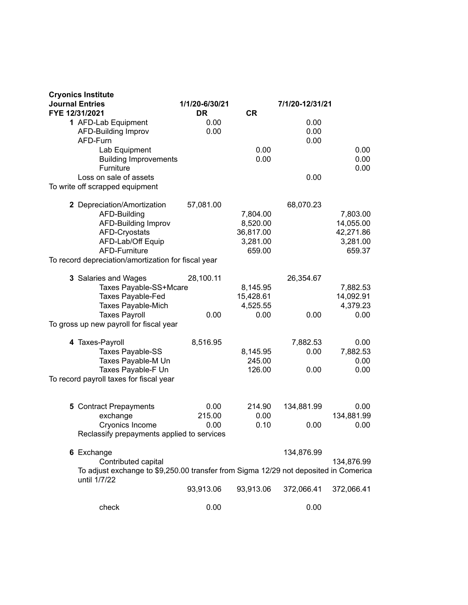| <b>Cryonics Institute</b>                                                                            |                |           |                 |            |
|------------------------------------------------------------------------------------------------------|----------------|-----------|-----------------|------------|
| <b>Journal Entries</b>                                                                               | 1/1/20-6/30/21 |           | 7/1/20-12/31/21 |            |
| FYE 12/31/2021                                                                                       | <b>DR</b>      | <b>CR</b> |                 |            |
| 1 AFD-Lab Equipment                                                                                  | 0.00           |           | 0.00            |            |
| <b>AFD-Building Improv</b>                                                                           | 0.00           |           | 0.00            |            |
| AFD-Furn                                                                                             |                |           | 0.00            |            |
| Lab Equipment                                                                                        |                | 0.00      |                 | 0.00       |
| <b>Building Improvements</b>                                                                         |                | 0.00      |                 | 0.00       |
| Furniture                                                                                            |                |           |                 | 0.00       |
| Loss on sale of assets                                                                               |                |           | 0.00            |            |
| To write off scrapped equipment                                                                      |                |           |                 |            |
|                                                                                                      |                |           |                 |            |
| 2 Depreciation/Amortization                                                                          | 57,081.00      |           | 68,070.23       |            |
| AFD-Building                                                                                         |                | 7,804.00  |                 | 7,803.00   |
| AFD-Building Improv                                                                                  |                | 8,520.00  |                 | 14,055.00  |
| AFD-Cryostats                                                                                        |                | 36,817.00 |                 | 42,271.86  |
| AFD-Lab/Off Equip                                                                                    |                | 3,281.00  |                 | 3,281.00   |
| AFD-Furniture                                                                                        |                | 659.00    |                 | 659.37     |
| To record depreciation/amortization for fiscal year                                                  |                |           |                 |            |
|                                                                                                      |                |           |                 |            |
| 3 Salaries and Wages                                                                                 | 28,100.11      |           | 26,354.67       |            |
| Taxes Payable-SS+Mcare                                                                               |                | 8,145.95  |                 | 7,882.53   |
| Taxes Payable-Fed                                                                                    |                | 15,428.61 |                 | 14,092.91  |
| Taxes Payable-Mich                                                                                   |                | 4,525.55  |                 | 4,379.23   |
| <b>Taxes Payroll</b>                                                                                 | 0.00           | 0.00      | 0.00            | 0.00       |
| To gross up new payroll for fiscal year                                                              |                |           |                 |            |
|                                                                                                      |                |           |                 |            |
| 4 Taxes-Payroll                                                                                      | 8,516.95       |           | 7,882.53        | 0.00       |
| Taxes Payable-SS                                                                                     |                | 8,145.95  | 0.00            | 7,882.53   |
| Taxes Payable-M Un                                                                                   |                | 245.00    |                 | 0.00       |
| Taxes Payable-F Un                                                                                   |                | 126.00    | 0.00            | 0.00       |
| To record payroll taxes for fiscal year                                                              |                |           |                 |            |
|                                                                                                      |                |           |                 |            |
|                                                                                                      |                |           |                 |            |
| 5 Contract Prepayments                                                                               | 0.00           | 214.90    | 134,881.99      | 0.00       |
| exchange                                                                                             | 215.00         | 0.00      |                 | 134,881.99 |
| Cryonics Income                                                                                      | 0.00           | 0.10      | 0.00            | 0.00       |
| Reclassify prepayments applied to services                                                           |                |           |                 |            |
|                                                                                                      |                |           |                 |            |
| 6 Exchange                                                                                           |                |           | 134,876.99      |            |
| Contributed capital                                                                                  |                |           |                 | 134,876.99 |
| To adjust exchange to \$9,250.00 transfer from Sigma 12/29 not deposited in Comerica<br>until 1/7/22 |                |           |                 |            |
|                                                                                                      | 93,913.06      | 93,913.06 | 372,066.41      | 372,066.41 |
|                                                                                                      |                |           |                 |            |
| check                                                                                                | 0.00           |           | 0.00            |            |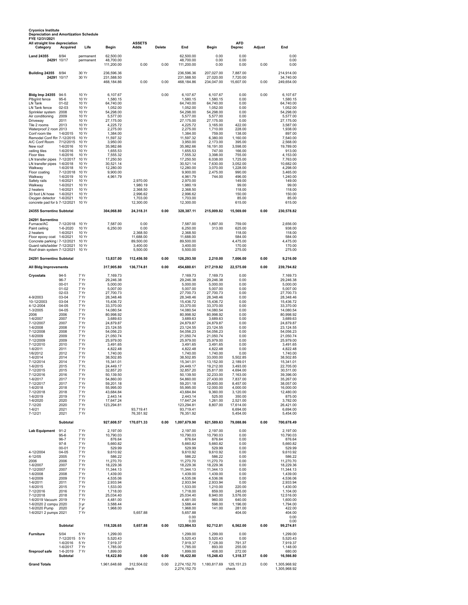## **Cryonics Institute Depreciation and Amortization Schedule FYE 12/31/2021**

| FYE 12/31/2021<br>All straight line depreciation<br>Category  | Acquired                | Life           | Begin                                  | <b>ASSETS</b><br>Adds    | <b>Delete</b> | End                                    | Begin                                 | <b>AFD</b><br>Deprec              | Adjust       | End                                   |
|---------------------------------------------------------------|-------------------------|----------------|----------------------------------------|--------------------------|---------------|----------------------------------------|---------------------------------------|-----------------------------------|--------------|---------------------------------------|
| <b>Land 24355</b>                                             | 8/94                    | permanent      | 62,500.00                              |                          |               | 62,500.00                              | 0.00                                  | 0.00                              |              | 0.00                                  |
| 24291 10/17                                                   |                         | permanent      | 48.700.00<br>111,200.00                | 0.00                     | 0.00          | 48,700.00<br>111,200.00                | 0.00<br>0.00                          | 0.00<br>0.00                      | 0.00         | 0.00<br>0.00                          |
| Building 24355<br>24291 10/17                                 | 8/94                    | 30 Yr<br>30 Yr | 236,596.36<br>231,588.50<br>468,184.86 | 0.00                     | 0.00          | 236,596.36<br>231,588.50<br>468,184.86 | 207,027.00<br>27,020.00<br>234,047.00 | 7,887.00<br>7,720.00<br>15,607.00 | 0.00         | 214,914.00<br>34.740.00<br>249,654.00 |
| Bldg Imp 24355 94-5<br>Plbg/int fence                         | $95 - 6$                | 10 Yr<br>10 Yr | 6,107.67<br>1,580.15                   |                          | 0.00          | 6,107.67<br>1,580.15                   | 6,107.67<br>1,580.15                  | 0.00<br>0.00                      | 0.00         | 6,107.67<br>1,580.15                  |
| LN Tank                                                       | $01 - 02$               | 10 Yr          | 64,740.00                              |                          |               | 64,740.00                              | 64,740.00                             | 0.00                              |              | 64,740.00                             |
| LN Tank fence<br>Sprinkler system 2008                        | $02 - 03$               | 10 Yr<br>10 Yr | 1,052.00<br>54,298.00                  |                          |               | 1,052.00<br>54,298.00                  | 1,052.00<br>54,298.00                 | 0.00<br>0.00                      |              | 1,052.00<br>54,298.00                 |
| Air conditioning<br>Driveway                                  | 2009<br>2011            | 10 Yr<br>10 Yr | 5,577.00<br>27.175.00                  |                          |               | 5,577.00<br>27,175.00                  | 5,577.00<br>27,175.00                 | 0.00<br>0.00                      |              | 5,577.00<br>27,175.00                 |
| Tile 2 rooms<br>Waterproof 2 roon 2013                        | 2013                    | 10 Yr<br>10 Yr | 4,225.72<br>2,275.00                   |                          |               | 4,225.72<br>2,275.00                   | 3,165.00<br>1,710.00                  | 422.00<br>228.00                  |              | 3,587.00<br>1,938.00                  |
| Conf room tile                                                | 1-6/2015                | 10 Yr          | 1,384.00                               |                          |               | 1,384.00                               | 759.00                                | 138.00                            |              | 897.00<br>7.540.00                    |
| Remodel Conf Rn 7-12/2015<br>A/C Conf Room                    | 7/12/2015               | 10 Yr<br>10 Yr | 11,597.32<br>3,950.00                  |                          |               | 11,597.32<br>3,950.00                  | 6,380.00<br>2,173.00                  | 1,160.00<br>395.00                |              | 2,568.00                              |
| New roof<br>ceiling tiles                                     | 1-6/2016<br>1-6/2016    | 10 Yr<br>10 Yr | 35,982.66<br>1,655.53                  |                          |               | 35,982.66<br>1,655.53                  | 16,191.00<br>747.00                   | 3,598.00<br>166.00                |              | 19,789.00<br>913.00                   |
| Floor tiles<br>LN transfer pipes 7-12/2017                    | 1-6/2016                | 10 Yr<br>10 Yr | 7,555.32<br>17,250.50                  |                          |               | 7,555.32<br>17,250.50                  | 3,398.00<br>6,038.00                  | 755.00<br>1,725.00                |              | 4,153.00<br>7,763.00                  |
| LN transfer pipes 1-6/2018<br>Walkway                         | 1-6/2018                | 10 Yr<br>10 Yr | 30,521.14<br>12,280.00                 |                          |               | 30,521.14<br>12,280.00                 | 7,630.00<br>3,070.00                  | 3,052.00<br>1,228.00              |              | 10,682.00<br>4,298.00                 |
| Floor coating                                                 | 7-12/2018               | 10 Yr<br>10 Yr | 9,900.00                               |                          |               | 9,900.00                               | 2,475.00<br>744.00                    | 990.00<br>496.00                  |              | 3,465.00                              |
| Walkway<br>Safety rails                                       | 1-6/2019<br>1-6/2021    | 10 Yr          | 4,961.79                               | 2,970.00                 |               | 4,961.79<br>2,970.00                   |                                       | 149.00                            |              | 1,240.00<br>149.00                    |
| Walkway<br>2 heaters                                          | 1-6/2021<br>1-6/2021    | 10 Yr<br>10 Yr |                                        | 1,980.19<br>2,368.50     |               | 1,980.19<br>2,368.50                   |                                       | 99.00<br>118.00                   |              | 99.00<br>118.00                       |
| 30 foot LN hose<br>Oxygen detector 1-6/2021                   | 1-6/2021                | 10 Yr<br>10 Yr |                                        | 2,996.62<br>1,703.00     |               | 2,996.62<br>1,703.00                   |                                       | 150.00<br>85.00                   |              | 150.00<br>85.00                       |
| concrete pad for b 7-12/2021<br>24355 Sorrentino Subtotal     |                         | 10 Yr          | 304,068.80                             | 12,300.00<br>24,318.31   | 0.00          | 12,300.00<br>328,387.11                | 215,009.82                            | 615.00<br>15,569.00               | 0.00         | 615.00<br>230,578.82                  |
| 24291 Sorrentino                                              |                         |                |                                        |                          |               |                                        |                                       |                                   |              |                                       |
| Furnace/AC<br>Paint ceiling                                   | 7-12/2018<br>1-6-2020   | 10 Yr<br>10 Yr | 7.587.00<br>6,250.00                   | 0.00<br>0.00             |               | 7.587.00<br>6.250.00                   | 1.897.00<br>313.00                    | 759.00<br>625.00                  |              | 2.656.00<br>938.00                    |
| 2 heaters<br>Floor epoxy coat 1-6/2021                        | 1-6/2021                | 10 Yr<br>10 Yr |                                        | 2,368.50<br>11,688.00    |               | 2,368.50<br>11,688.00                  |                                       | 118.00<br>584.00                  |              | 118.00<br>584.00                      |
| Concrete parking I 7-12/2021<br>Guard rails/ladder: 7-12/2021 |                         | 10 Yr<br>10 Yr |                                        | 89,500.00<br>3.400.00    |               | 89,500.00<br>3,400.00                  |                                       | 4,475.00<br>170.00                |              | 4,475.00<br>170.00                    |
| Roof drain system 7-12/2021                                   |                         | 10 Yr          |                                        | 5,500.00                 |               | 5,500.00                               | 2,210.00                              | 275.00                            |              | 275.00                                |
| 24291 Sorrentino Subtotal<br>All Bidg Improvements            |                         |                | 13,837.00<br>317,905.80                | 112,456.50<br>136,774.81 | 0.00<br>0.00  | 126,293.50<br>454,680.61               | 217,219.82                            | 7,006.00<br>22,575.00             | 0.00<br>0.00 | 9,216.00<br>239,794.82                |
| <b>Cryostats</b>                                              | $94 - 5$                | 7 Yr           | 7,169.73                               |                          |               | 7,169.73                               | 7,169.73                              | 0.00                              |              | 7,169.73                              |
|                                                               | $96 - 7$<br>$00 - 01$   | 7 Yr<br>7 Yr   | 29,246.38<br>5,000.00                  |                          |               | 29,246.38<br>5,000.00                  | 29,246.38<br>5,000.00                 | 0.00<br>0.00                      |              | 29,246.38<br>5,000.00                 |
|                                                               | $01 - 02$<br>$02 - 03$  | 7 Yr<br>7 Yr   | 5,007.00<br>27,700.73                  |                          |               | 5,007.00<br>27,700.73                  | 5,007.00<br>27,700.73                 | 0.00<br>0.00                      |              | 5,007.00<br>27,700.73                 |
| 4-9/2003                                                      | 03-04                   | 7 Yr           | 28,348.46                              |                          |               | 28,348.46                              | 28,348.46                             | 0.00                              |              | 28,348.46                             |
| 10-12/2003<br>4-12-2004                                       | 03-04<br>04-05          | 7 Yr<br>7 Yr   | 15,436.72<br>33,370.00                 |                          |               | 15,436.72<br>33,370.00                 | 15,436.72<br>33,370.00                | 0.00<br>0.00                      |              | 15,436.72<br>33,370.00                |
| 1-3/2005<br>2006                                              | 04-05<br>2006           | 7 Yr<br>7 Yr   | 14,080.54<br>80,998.92                 |                          |               | 14,080.54<br>80,998.92                 | 14,080.54<br>80,998.92                | 0.00<br>0.00                      |              | 14,080.54<br>80,998.92                |
| 1-6/2007<br>7-12/2007                                         | 2007<br>2007            | 7 Yr<br>7 Yr   | 3,689.63<br>24,879.87                  |                          |               | 3,689.63<br>24,879.87                  | 3,689.63<br>24,879.87                 | 0.00<br>0.00                      |              | 3,689.63<br>24,879.87                 |
| 1-6/2008<br>7-12/2008                                         | 2008<br>2008            | 7 Yr<br>7 Yr   | 23,124.55<br>54,056.23                 |                          |               | 23,124.55<br>54,056.23                 | 23,124.55<br>54,056.23                | 0.00<br>0.00                      |              | 23,124.55<br>54,056.23                |
| 1-6/2009                                                      | 2009                    | 7 Yr           | 21,050.74                              |                          |               | 21,050.74                              | 21,050.74                             | 0.00                              |              | 21,050.74                             |
| 7-12/2009<br>7-12/2010                                        | 2009<br>2010            | 7 Yr<br>7 Yr   | 25,979.00<br>3,491.65                  |                          |               | 25,979.00<br>3,491.65                  | 25,979.00<br>3,491.65                 | 0.00<br>0.00                      |              | 25,979.00<br>3,491.65                 |
| 1-6/2011<br>1/6/2012                                          | 2011<br>2012            | 7 Yr<br>7 Yr   | 4,822.48<br>1.740.00                   |                          |               | 4,822.48<br>1.740.00                   | 4,822.48<br>1,740.00                  | 0.00<br>0.00                      |              | 4,822.48<br>1.740.00                  |
| 1-6/2014<br>7-12/2014                                         | 2014<br>2014            | 7 Yr<br>7 Yr   | 38,502.85<br>15,341.01                 |                          |               | 38,502.85<br>15,341.01                 | 33,000.00<br>13,152.00                | 5,502.85<br>2,189.01              |              | 38,502.85<br>15,341.01                |
| 1-6/2015<br>7-12/2015                                         | 2015<br>2015            | 7 Yr.<br>7 Yr  | 24,449.17<br>32,857.20                 |                          |               | 24,449.17<br>32,857.20                 | 19,212.00<br>25,817.00                | 3.493.00<br>4,694.00              |              | 22,705.00<br>30.511.00                |
| 7-12/2016<br>1-6/2017                                         | 2016                    | 7 Yr           | 50,139.50                              |                          |               | 50,139.50                              | 32,233.00                             | 7,163.00<br>7,837.00              |              | 39,396.00                             |
| 7-12/2017                                                     | 2017<br>2017            | 7 Yr<br>7 Yr   | 54,860.00<br>59,201.18                 |                          |               | 54,860.00<br>59,201.18                 | 27,430.00<br>29,600.00                | 8,457.00                          |              | 35,267.00<br>38,057.00                |
| 1-6/2018<br>7-12/2018                                         | 2018<br>2018            | 7 Yr<br>7 Yr   | 55.995.00<br>43,684.84                 |                          |               | 55,995.00<br>43,684.84                 | 12,000.00<br>9,360.00                 | 4,000.00<br>3,120.00              |              | 16,000.00<br>12,480.00                |
| 1-6/2019<br>1-6/2020                                          | 2019<br>2020            | 7 Yr<br>7 Yr   | 2,443.14<br>17,647.24                  |                          |               | 2,443.14<br>17,647.24                  | 525.00<br>1,261.00                    | 350.00<br>2,521.00                |              | 875.00<br>3,782.00                    |
| 7-12/20<br>$1 - 6/21$                                         | 2020<br>2021            | 7 Yr<br>7 Yr   | 123,294.81                             | 93,719.41                |               | 123,294.81<br>93.719.41                | 8,807.00                              | 17,614.00<br>6,694.00             |              | 26,421.00<br>6.694.00                 |
| 7-12/21                                                       | 2021<br><b>Subtotal</b> | 7 Yr           | 927,608.57                             | 76,351.92<br>170,071.33  | 0.00          | 76,351.92<br>1,097,679.90              | 621,589.63                            | 5,454.00<br>79,088.86             | 0.00         | 5,454.00<br>700,678.49                |
| <b>Lab Equipment</b>                                          | $91 - 2$                | 7 Yr           | 2,197.00                               |                          |               | 2,197.00                               | 2,197.00                              | 0.00                              |              | 2,197.00                              |
|                                                               | $95 - 6$<br>$96 - 7$    | 7 Yr<br>7 Yr   | 10,790.03<br>876.64                    |                          |               | 10,790.03<br>876.64                    | 10,790.03<br>876.64                   | 0.00<br>0.00                      |              | 10,790.03<br>876.64                   |
|                                                               | $97 - 8$<br>$00 - 01$   | 7 Yr<br>7 Yr   | 5,660.82<br>529.99                     |                          |               | 5,660.82<br>529.99                     | 5,660.82<br>529.99                    | 0.00<br>0.00                      |              | 5.660.82<br>529.99                    |
| 4-12/2004<br>4-12/05                                          | 04-05<br>2005           | 7 Yr<br>7 Yr   | 9,610.92<br>586.22                     |                          |               | 9,610.92<br>586.22                     | 9,610.92<br>586.22                    | 0.00<br>0.00                      |              | 9,610.92<br>586.22                    |
| 2006<br>1-6/2007                                              | 2006<br>2007            | 7 Yr<br>7 Yr   | 11.270.70<br>18,229.36                 |                          |               | 11,270.70<br>18,229.36                 | 11,270.70<br>18,229.36                | 0.00<br>0.00                      |              | 11,270.70<br>18,229.36                |
| 7-12/2007                                                     | 2007                    | 7 Yr           | 11,344.13                              |                          |               | 11,344.13                              | 11,344.13                             | 0.00                              |              | 11,344.13                             |
| 1-6/2008<br>1-6/2009                                          | 2008<br>2009            | 7 Yr<br>7 Yr   | 1,439.00<br>4,535.06                   |                          |               | 1,439.00<br>4,535.06                   | 1,439.00<br>4.536.06                  | 0.00<br>0.00                      |              | 1,439.00<br>4.536.06                  |
| 1-6/2011<br>1-6/2015                                          | 2011<br>2015            | 7 Yr<br>7 Yr   | 2,933.94<br>1,533.00                   |                          |               | 2,933.94<br>1,533.00                   | 2,933.94<br>1,210.00                  | 0.00<br>220.00                    |              | 2,933.94<br>1,430.00                  |
| 7-12/2016<br>7-12/2018                                        | 2016<br>2018            | 7 Yr<br>7 Yr   | 1,718.00<br>25,034.40                  |                          |               | 1,718.00<br>25,034.40                  | 859.00<br>8,940.00                    | 245.00<br>3,576.00                |              | 1,104.00<br>12,516.00                 |
| 1-6/2019 Vacuum 2019<br>1-6/2020 2 compu 2020                 |                         | 7 Yr<br>3 yr   | 4,481.00<br>3,588.44                   |                          |               | 4,481.00<br>3,588.44                   | 960.00<br>598.00                      | 640.00<br>1,196.00                |              | 1,600.00<br>1,794.00                  |
| 1-6/2020 Pump<br>1-6/2021 2 pumps 2021                        | 2020                    | 7 yr<br>7 Yr   | 1,968.00                               | 5,657.88                 |               | 1,968.00<br>5,657.88                   | 141.00                                | 281.00<br>404.00                  |              | 422.00<br>404.00                      |
|                                                               |                         |                |                                        |                          |               | 0.00<br>0.00                           |                                       |                                   |              | 0.00<br>0.00                          |
|                                                               | Subtotal                |                | 118,326.65                             | 5,657.88                 | 0.00          | 123,984.53                             | 92,712.81                             | 6,562.00                          | 0.00         | 99,274.81                             |
| <b>Furniture</b>                                              | 5/04<br>7-12/2015       | 5 Yr<br>5 Yr   | 1,299.00<br>5,520.43                   |                          |               | 1,299.00<br>5,520.43                   | 1,299.00<br>5,520.43                  | 0.00<br>0.00                      |              | 1,299.00<br>5,520.43                  |
|                                                               | 1-6/2016<br>1-6/2017    | 5 Yr<br>7 Yr   | 7,919.37<br>1,785.00                   |                          |               | 7,919.37<br>1,785.00                   | 7,128.00<br>893.00                    | 791.37<br>255.00                  |              | 7,919.37<br>1,148.00                  |
| fireproof safe                                                | 1-6-2019<br>Subtotal    | 7 Yr           | 1,899.00<br>18,422.80                  | 0.00                     | 0.00          | 1,899.00<br>18,422.80                  | 408.00<br>15,248.43                   | 272.00<br>1,318.37                | 0.00         | 680.00<br>16,566.80                   |
| <b>Grand Totals</b>                                           |                         |                | 1,961,648.68                           | 312,504.02<br>check      | 0.00          | 2,274,152.70<br>2,274,152.70           | 1,180,817.69                          | 125, 151.23<br>check              | 0.00         | 1,305,968.92<br>1,305,968.92          |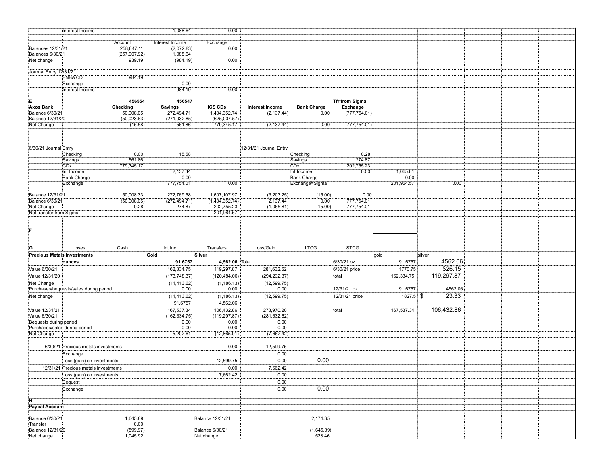|                                       | Interest Income                        |                  | 1,088.64                     | 0.00                     |                        |                            |                          |            |            |  |  |
|---------------------------------------|----------------------------------------|------------------|------------------------------|--------------------------|------------------------|----------------------------|--------------------------|------------|------------|--|--|
|                                       |                                        |                  |                              |                          |                        |                            |                          |            |            |  |  |
|                                       |                                        | Account          | Interest Income              | Exchange                 |                        |                            |                          |            |            |  |  |
| <b>Balances 12/31/21</b>              |                                        | 258,847.11       | (2,072.83)                   | 0.00                     |                        |                            |                          |            |            |  |  |
| Balances 6/30/21                      |                                        | (257, 907.92)    | 1,088.64                     |                          |                        |                            |                          |            |            |  |  |
| Net change                            |                                        | 939.19           | (984.19)                     | 0.00                     |                        |                            |                          |            |            |  |  |
|                                       |                                        |                  |                              |                          |                        |                            |                          |            |            |  |  |
| Journal Entry 12/31/21                |                                        |                  |                              |                          |                        |                            |                          |            |            |  |  |
|                                       | <b>FNBACD</b>                          | 984.19           |                              |                          |                        |                            |                          |            |            |  |  |
|                                       | Exchange                               |                  | 0.00                         |                          |                        |                            |                          |            |            |  |  |
|                                       | Interest Income                        |                  | 984.19                       | 0.00                     |                        |                            |                          |            |            |  |  |
| $\epsilon$ . The state of $\epsilon$  |                                        | 456554           | 456547                       |                          |                        |                            | <b>Tfr from Sigma</b>    |            |            |  |  |
| <b>Axos Bank</b>                      |                                        | Checking         |                              | <b>ICS CDs</b>           | <b>Interest Income</b> |                            | <b>Exchange</b>          |            |            |  |  |
| <b>Balance 6/30/21</b>                |                                        | 50,008.05        | <b>Savings</b><br>272,494.71 | 1,404,352.74             | (2, 137.44)            | <b>Bank Charge</b><br>0.00 | (777, 754.01)            |            |            |  |  |
| <b>Balance 12/31/20</b>               |                                        | (50,023.63)      | (271, 932.85)                | (625,007.57)             |                        |                            |                          |            |            |  |  |
| Net Change                            |                                        | (15.58)          | 561.86                       | 779,345.17               | (2, 137.44)            | 0.00                       | (777, 754.01)            |            |            |  |  |
|                                       |                                        |                  |                              |                          |                        |                            |                          |            |            |  |  |
|                                       |                                        |                  |                              |                          |                        |                            |                          |            |            |  |  |
|                                       |                                        |                  |                              |                          |                        |                            |                          |            |            |  |  |
| 6/30/21 Journal Entry                 |                                        |                  |                              |                          | 12/31/21 Journal Entry |                            |                          |            |            |  |  |
|                                       | Checking                               | $-0.00$          | $\overline{15.58}$           |                          |                        | Checking                   | 0.28                     |            |            |  |  |
|                                       | Savings                                | 561.86           |                              |                          |                        | Savings                    | 274.87                   |            |            |  |  |
|                                       | CDx                                    | 779,345.17       |                              |                          |                        | CDx                        | 202,755.23               |            |            |  |  |
|                                       | Int Income                             |                  | 2,137.44                     |                          |                        | Int Income                 | 0.00                     | 1,065.81   |            |  |  |
|                                       | <b>Bank Charge</b>                     |                  | 0.00                         |                          |                        | <b>Bank Charge</b>         |                          | 0.00       |            |  |  |
|                                       | Exchange                               |                  | 777,754.01                   | 0.00                     |                        | Exchange=Sigma             |                          | 201,964.57 | 0.00       |  |  |
|                                       |                                        |                  |                              |                          |                        |                            |                          |            |            |  |  |
| Balance 12/31/21                      |                                        | 50,008.33        | 272,769.58                   | 1,607,107.97             | (3,203.25)             | (15.00)                    | 0.00                     |            |            |  |  |
| <b>Balance 6/30/21</b>                |                                        | (50,008.05)      | (272, 494.71)                | (1,404,352.74)           | 2,137.44<br>(1,065.81) | 0.00                       | 777,754.01<br>777,754.01 |            |            |  |  |
| Net Change<br>Net transfer from Sigma |                                        | 0.28             | 274.87                       | 202,755.23<br>201,964.57 |                        | (15.00)                    |                          |            |            |  |  |
|                                       |                                        |                  |                              |                          |                        |                            |                          |            |            |  |  |
|                                       |                                        |                  |                              |                          |                        |                            |                          |            |            |  |  |
|                                       |                                        |                  |                              |                          |                        |                            |                          |            |            |  |  |
|                                       |                                        |                  |                              |                          |                        |                            |                          |            |            |  |  |
|                                       |                                        |                  |                              |                          |                        |                            |                          |            |            |  |  |
| iG.                                   | Invest                                 | Cash             | Int Inc                      | Transfers                | Loss/Gain              | LTCG <sup>®</sup>          | STCG                     |            |            |  |  |
| Precious Metals Investments           |                                        |                  | Gold                         | Silver                   |                        |                            |                          | gold       | silver     |  |  |
|                                       | ounces                                 |                  | 91.6757                      | 4,562.06 Total           |                        |                            | 6/30/21 oz               | 91.6757    | 4562.06    |  |  |
|                                       |                                        |                  |                              |                          |                        |                            |                          |            | \$26.15    |  |  |
| Value 6/30/21                         |                                        |                  | 162,334.75                   | 119,297.87               | 281,632.62             |                            | 6/30/21 price            | 1770.75    |            |  |  |
| Value 12/31/20                        |                                        |                  | (173, 748.37)                | (120, 484.00)            | (294, 232.37)          |                            | total                    | 162,334.75 | 119,297.87 |  |  |
| Net Change                            |                                        |                  | (11, 413.62)                 | (1, 186.13)              | (12, 599.75)           |                            |                          |            |            |  |  |
|                                       | Purchases/bequests/sales during period |                  | 0.00                         | 0.00                     | 0.00                   |                            | 12/31/21 oz              | 91.6757    | 4562.06    |  |  |
| Net change                            |                                        |                  | (11, 413.62)                 | (1, 186.13)              | (12, 599.75)           |                            | 12/31/21 price           | 1827.5 \$  | 23.33      |  |  |
|                                       |                                        |                  | 91.6757                      | 4,562.06                 |                        |                            |                          |            |            |  |  |
| Value 12/31/21                        |                                        |                  | 167,537.34                   | 106,432.86               | 273,970.20             |                            | total                    | 167,537.34 | 106,432.86 |  |  |
| Value 6/30/21                         |                                        |                  | (162, 334.75)                | (119, 297.87)            | (281, 632.62)          |                            |                          |            |            |  |  |
| Bequests during period                |                                        |                  | 0.00                         | 0.00                     | 0.00                   |                            |                          |            |            |  |  |
| Purchases/sales during period         |                                        |                  | 0.00                         | 0.00                     | 0.00                   |                            |                          |            |            |  |  |
| Net Change                            |                                        |                  | 5,202.61                     | (12,865.01)              | (7,662.42)             |                            |                          |            |            |  |  |
|                                       |                                        |                  |                              |                          |                        |                            |                          |            |            |  |  |
|                                       | 6/30/21 Precious metals investments    |                  |                              | 0.00                     | 12,599.75              |                            |                          |            |            |  |  |
|                                       | Exchange                               |                  |                              |                          | 0.00                   |                            |                          |            |            |  |  |
|                                       | Loss (gain) on investments             |                  |                              | 12,599.75                | 0.00                   | 0.00                       |                          |            |            |  |  |
|                                       | 12/31/21 Precious metals investments   |                  |                              | 0.00                     | 7,662.42               |                            |                          |            |            |  |  |
|                                       |                                        |                  |                              |                          |                        |                            |                          |            |            |  |  |
|                                       | Loss (gain) on investments             |                  |                              | 7,662.42                 | 0.00                   |                            |                          |            |            |  |  |
|                                       | Bequest                                |                  |                              |                          | 0.00                   |                            |                          |            |            |  |  |
|                                       | Exchange                               |                  |                              |                          | 0.00                   | 0.00                       |                          |            |            |  |  |
|                                       |                                        |                  |                              |                          |                        |                            |                          |            |            |  |  |
|                                       |                                        |                  |                              |                          |                        |                            |                          |            |            |  |  |
| <b>Paypal Account</b>                 |                                        |                  |                              |                          |                        |                            |                          |            |            |  |  |
|                                       |                                        |                  |                              |                          |                        |                            |                          |            |            |  |  |
| Balance 6/30/21                       |                                        | 1,645.89         |                              | Balance 12/31/21         |                        | 2,174.35                   |                          |            |            |  |  |
| Transfer                              |                                        | 0.00<br>(599.97) |                              | Balance 6/30/21          |                        | (1,645.89)                 |                          |            |            |  |  |
| Balance 12/31/20<br>Net change        |                                        | 1,045.92         |                              | Net change               |                        | 528.46                     |                          |            |            |  |  |
|                                       |                                        |                  |                              |                          |                        |                            |                          |            |            |  |  |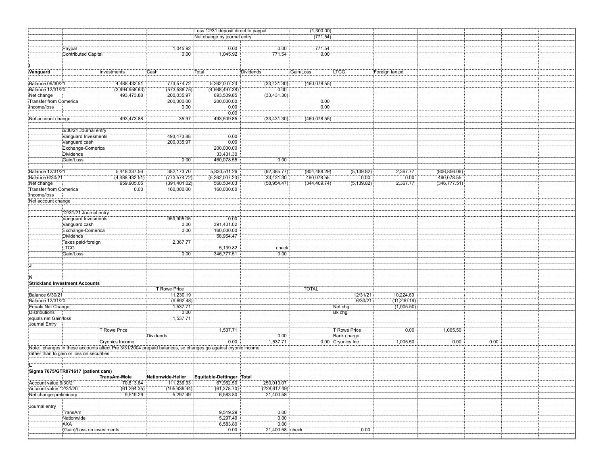|                                              |                                           |                     |                                                                                                             | Less 12/31 deposit direct to paypal |                 | (1,300.00)    |                   |                   |               |      |  |
|----------------------------------------------|-------------------------------------------|---------------------|-------------------------------------------------------------------------------------------------------------|-------------------------------------|-----------------|---------------|-------------------|-------------------|---------------|------|--|
|                                              |                                           |                     |                                                                                                             | Net change by journal entry         |                 | (771.54)      |                   |                   |               |      |  |
|                                              |                                           |                     |                                                                                                             |                                     |                 |               |                   |                   |               |      |  |
|                                              | Paypal                                    |                     | 1,045.92                                                                                                    | 0.00                                | 0.00            | 771.54        |                   |                   |               |      |  |
|                                              | <b>Contributed Capital</b>                |                     | 0.00                                                                                                        | 1,045.92                            | 771.54          | 0.00          |                   |                   |               |      |  |
|                                              |                                           |                     |                                                                                                             |                                     |                 |               |                   |                   |               |      |  |
|                                              |                                           |                     |                                                                                                             |                                     |                 |               |                   |                   |               |      |  |
| Vanguard                                     |                                           | Investments         | Cash                                                                                                        | Total                               | :Dividends      | Gain/Loss     | <b>LTCG</b>       | Foreign tax pd    |               |      |  |
|                                              |                                           |                     |                                                                                                             |                                     |                 |               |                   |                   |               |      |  |
| Balance 06/30/21                             |                                           | 4,488,432.51        | 773,574.72                                                                                                  | 5,262,007.23                        | (33,431.30)     | (460, 078.55) |                   |                   |               |      |  |
| <b>Balance 12/31/20</b>                      |                                           | (3,994,958.63)      | (573, 538.75)                                                                                               | (4, 568, 497.38)                    | 0.00            |               |                   |                   |               |      |  |
| Net change                                   |                                           | 493,473.88          | 200,035.97                                                                                                  | 693,509.85                          | (33,431.30)     |               |                   |                   |               |      |  |
| Transfer from Comerica                       |                                           |                     | 200,000.00                                                                                                  | 200,000.00                          |                 | 0.00          |                   |                   |               |      |  |
| Income/loss                                  |                                           |                     | 0.00                                                                                                        | 0.00                                |                 | 0.00          |                   |                   |               |      |  |
|                                              |                                           |                     |                                                                                                             | 0.00                                |                 |               |                   |                   |               |      |  |
| Net account change                           |                                           | 493,473.88          | 35.97                                                                                                       | 493,509.85                          | (33, 431.30)    | (460, 078.55) |                   |                   |               |      |  |
|                                              |                                           |                     |                                                                                                             |                                     |                 |               |                   |                   |               |      |  |
|                                              | 6/30/21 Journal entry                     |                     |                                                                                                             |                                     |                 |               |                   |                   |               |      |  |
|                                              | Vanguard Invesments                       |                     | 493,473.88                                                                                                  | 0.00                                |                 |               |                   |                   |               |      |  |
|                                              | Vanguard cash                             |                     | 200,035.97                                                                                                  | 0.00                                |                 |               |                   |                   |               |      |  |
|                                              | Exchange-Comerica                         |                     |                                                                                                             | 200,000.00                          |                 |               |                   |                   |               |      |  |
|                                              | <b>Dividends</b>                          |                     |                                                                                                             | 33,431.30                           |                 |               |                   |                   |               |      |  |
|                                              | Gain/Loss                                 |                     | 0.00                                                                                                        | 460,078.55                          | 0.00            |               |                   |                   |               |      |  |
|                                              |                                           |                     |                                                                                                             |                                     |                 |               |                   |                   |               |      |  |
| Balance 12/31/21                             |                                           | 5,448,337.56        | 382,173.70                                                                                                  | 5,830,511.26                        | (92, 385.77)    | (804, 488.29) | (5, 139.82)       | 2,367.77          | (806, 856.06) |      |  |
| <b>Balance 6/30/21</b>                       |                                           | (4,488,432.51)      | (773, 574.72)                                                                                               | (5,262,007.23)                      | 33,431.30       | 460,078.55    | 0.00              | 0.00              | 460,078.55    |      |  |
| Net change<br>Transfer from Comerica         |                                           | 959,905.05          | (391, 401.02)                                                                                               | 568,504.03                          | (58, 954.47)    | (344, 409.74) | (5, 139.82)       | 2,367.77          | (346, 777.51) |      |  |
|                                              |                                           | 0.00                | 160,000.00                                                                                                  | 160,000.00                          |                 |               |                   |                   |               |      |  |
| Income/loss                                  |                                           |                     |                                                                                                             |                                     |                 |               |                   |                   |               |      |  |
| Net account change                           |                                           |                     |                                                                                                             |                                     |                 |               |                   |                   |               |      |  |
|                                              |                                           |                     |                                                                                                             |                                     |                 |               |                   |                   |               |      |  |
|                                              | 12/31/21 Journal entry                    |                     |                                                                                                             |                                     |                 |               |                   |                   |               |      |  |
|                                              | Vanguard Invesments                       |                     | 959,905.05                                                                                                  | 0.00                                |                 |               |                   |                   |               |      |  |
|                                              | Vanguard cash                             |                     | 0.00                                                                                                        | 391,401.02                          |                 |               |                   |                   |               |      |  |
|                                              | Exchange-Comerica                         |                     | 0.00                                                                                                        | 160,000.00                          |                 |               |                   |                   |               |      |  |
|                                              | <b>Dividends</b>                          |                     |                                                                                                             | 58,954.47                           |                 |               |                   |                   |               |      |  |
|                                              | Taxes paid-foreign                        |                     | 2,367.77                                                                                                    |                                     |                 |               |                   |                   |               |      |  |
|                                              | <b>LTCG</b>                               |                     |                                                                                                             | $-5,139.82$                         | check           |               |                   |                   |               |      |  |
|                                              | Gain/Loss                                 |                     | 0.00                                                                                                        | 346,777.51                          | 0.00            |               |                   |                   |               |      |  |
|                                              |                                           |                     |                                                                                                             |                                     |                 |               |                   |                   |               |      |  |
|                                              |                                           |                     |                                                                                                             |                                     |                 |               |                   |                   |               |      |  |
|                                              |                                           |                     |                                                                                                             |                                     |                 |               |                   |                   |               |      |  |
|                                              |                                           |                     |                                                                                                             |                                     |                 |               |                   |                   |               |      |  |
|                                              | <b>Strickland Investment Accounts</b>     |                     |                                                                                                             |                                     |                 |               |                   |                   |               |      |  |
|                                              |                                           |                     | T Rowe Price                                                                                                |                                     |                 | <b>TOTAL</b>  |                   |                   |               |      |  |
| <b>Balance 6/30/21</b>                       |                                           |                     | 11,230.19                                                                                                   |                                     |                 |               | 12/31/21          | 10,224.69         |               |      |  |
| <b>Balance 12/31/20</b>                      |                                           |                     | (9,692.48)                                                                                                  |                                     |                 |               | 6/30/21           | (11, 230.19)      |               |      |  |
| Equals Net Change                            |                                           |                     | 1,537.71                                                                                                    |                                     |                 |               | Net chg           | (1,005.50)        |               |      |  |
| <b>Distributions</b><br>equals net Gain/loss |                                           |                     | 0.00                                                                                                        |                                     |                 |               | Bk chg            |                   |               |      |  |
|                                              |                                           |                     | 1,537.71                                                                                                    |                                     |                 |               |                   |                   |               |      |  |
| Journal Entry                                |                                           |                     |                                                                                                             |                                     |                 |               | T Rowe Price      |                   |               |      |  |
|                                              |                                           | <b>T Rowe Price</b> | Dividends                                                                                                   | 7,537.71                            | $-0.00$         |               | Bank charge       | $\overline{0.00}$ | 1,005.50      |      |  |
|                                              |                                           | Cryonics Income     |                                                                                                             | 0.00                                | 1,537.71        |               | 0.00 Cryonics Inc | 1,005.50          | 0.00          | 0.00 |  |
|                                              |                                           |                     | Note: changes in these accounts affect Pre 3/31/2004 prepaid balances, so changes go against cryonic income |                                     |                 |               |                   |                   |               |      |  |
|                                              | rather than to gain or loss on securities |                     |                                                                                                             |                                     |                 |               |                   |                   |               |      |  |
|                                              |                                           |                     |                                                                                                             |                                     |                 |               |                   |                   |               |      |  |
|                                              |                                           |                     |                                                                                                             |                                     |                 |               |                   |                   |               |      |  |
|                                              | Sigma 7675/GTR071617 (patient care)       |                     |                                                                                                             |                                     |                 |               |                   |                   |               |      |  |
|                                              |                                           | TransAm-Mole        | Nationwide-Heller                                                                                           | Equitable-Dettinger Total           |                 |               |                   |                   |               |      |  |
| Account value 6/30/21                        |                                           | 70,813.64           | 111,236.93                                                                                                  | 67,962.50                           | 250,013.07      |               |                   |                   |               |      |  |
| Account value 12/31/20                       |                                           | (61, 294.35)        | (105, 939.44)                                                                                               | (61, 378.70)                        | (228, 612.49)   |               |                   |                   |               |      |  |
| Net change-preliminary                       |                                           | 9,519.29            | 5,297.49                                                                                                    | 6,583.80                            | 21,400.58       |               |                   |                   |               |      |  |
|                                              |                                           |                     |                                                                                                             |                                     |                 |               |                   |                   |               |      |  |
| Journal entry                                |                                           |                     |                                                                                                             |                                     |                 |               |                   |                   |               |      |  |
|                                              | TransAm                                   |                     |                                                                                                             | 9,519.29                            | 0.00            |               |                   |                   |               |      |  |
|                                              | Nationwide                                |                     |                                                                                                             | 5,297.49                            | 0.00            |               |                   |                   |               |      |  |
|                                              | <b>AXA</b>                                |                     |                                                                                                             | 6,583.80                            | 0.00            |               |                   |                   |               |      |  |
|                                              | (Gain)/Loss on investments                |                     |                                                                                                             | 0.00                                | 21,400.58 check |               | 0.00              |                   |               |      |  |
|                                              |                                           |                     |                                                                                                             |                                     |                 |               |                   |                   |               |      |  |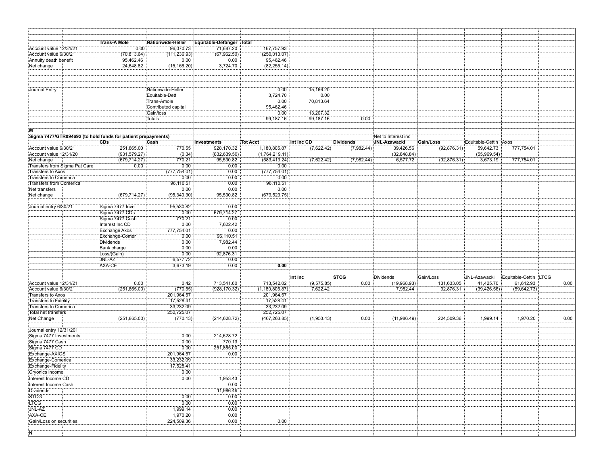| Account value 12/31/21                                       | <b>Trans-A Mole</b><br>0.00     | Nationwide-Heller<br>96,070.73 | Equitable-Dettinger Total<br>71,687.20 | 167,757.93        |                       |                     |                           |                          |                           |                                    |                   |
|--------------------------------------------------------------|---------------------------------|--------------------------------|----------------------------------------|-------------------|-----------------------|---------------------|---------------------------|--------------------------|---------------------------|------------------------------------|-------------------|
| Account value 6/30/21                                        | (70, 813.64)                    | (111, 236.93)                  | (67, 962.50)                           | (250, 013.07)     |                       |                     |                           |                          |                           |                                    |                   |
| Annuity death benefit                                        | 95,462.46                       | 0.00                           | 0.00                                   | 95,462.46         |                       |                     |                           |                          |                           |                                    |                   |
| Net change                                                   | 24,648.82                       | (15, 166.20)                   | 3,724.70                               | (82, 255.14)      |                       |                     |                           |                          |                           |                                    |                   |
|                                                              |                                 |                                |                                        |                   |                       |                     |                           |                          |                           |                                    |                   |
|                                                              |                                 |                                |                                        |                   |                       |                     |                           |                          |                           |                                    |                   |
| Journal Entry                                                |                                 | Nationwide-Heller              |                                        | 0.00              | 15,166.20             |                     |                           |                          |                           |                                    |                   |
|                                                              |                                 | Equitable-Dett                 |                                        | 3,724.70          | 0.00                  |                     |                           |                          |                           |                                    |                   |
|                                                              |                                 | Trans-Amole                    |                                        | 0.00              | 70,813.64             |                     |                           |                          |                           |                                    |                   |
|                                                              |                                 | Contributed capital            |                                        | 95,462.46         |                       |                     |                           |                          |                           |                                    |                   |
|                                                              |                                 | Gain/loss                      |                                        | 0.00              | 13,207.32             |                     |                           |                          |                           |                                    |                   |
|                                                              |                                 | Totals                         |                                        | 99,187.16         | 99,187.16             | 0.00                |                           |                          |                           |                                    |                   |
|                                                              |                                 |                                |                                        |                   |                       |                     |                           |                          |                           |                                    |                   |
| Sigma 7477/GTR094692 (to hold funds for patient prepayments) |                                 |                                |                                        |                   |                       |                     | Net to Interest inc.      |                          |                           |                                    |                   |
|                                                              | CDs                             | Cash                           | Investments                            | Tot Acct          | Int Inc CD            | Dividends           | JNL-Azawacki              | Gain/Loss                | Equitable-Cettin Axos     |                                    |                   |
| Account value 6/30/21                                        | 251,865.00                      | 770.55                         | 928,170.32                             | 1,180,805.87      | (7,622.42)            | (7,982.44)          | 39,426.56                 | (92, 876.31)             | 59,642.73                 | 777,754.01                         |                   |
| Account value 12/31/20                                       | (931, 579.27)                   | (0.34)                         | (832, 639.50)                          | (1,764,219.11)    |                       |                     | (32,848.84)               |                          | (55,969.54)               |                                    |                   |
| Net change                                                   | (679, 714.27)                   | 770.21                         | 95,530.82                              | (583, 413.24)     | (7,622.42)            | (7,982.44)          | 6,577.72                  | (92, 876.31)             | 3,673.19                  | 777,754.01                         |                   |
| Transfers from Sigma Pat Care                                | 0.00                            | 0.00                           | 0.00                                   | 0.00              |                       |                     |                           |                          |                           |                                    |                   |
| Transfers to Axos                                            |                                 | (777, 754.01)                  | 0.00                                   | (777, 754.01)     |                       |                     |                           |                          |                           |                                    |                   |
| Transfers to Comerica<br><b>Transfers from Comerica</b>      |                                 | 0.00<br>96,110.51              | 0.00<br>0.00                           | 0.00<br>96,110.51 |                       |                     |                           |                          |                           |                                    |                   |
| Net transfers                                                |                                 | 0.00                           | 0.00                                   | 0.00              |                       |                     |                           |                          |                           |                                    |                   |
| Net change                                                   | (679, 714.27)                   | (95, 340.30)                   | 95,530.82                              | (679, 523.75)     |                       |                     |                           |                          |                           |                                    |                   |
|                                                              |                                 |                                |                                        |                   |                       |                     |                           |                          |                           |                                    |                   |
| Journal entry 6/30/21                                        | Sigma 7477 Inve                 | 95,530.82                      | 0.00                                   |                   |                       |                     |                           |                          |                           |                                    |                   |
|                                                              | Sigma 7477 CDs                  | 0.00                           | 679,714.27                             |                   |                       |                     |                           |                          |                           |                                    |                   |
|                                                              | Sigma 7477 Cash                 | 770.21                         | 0.00                                   |                   |                       |                     |                           |                          |                           |                                    |                   |
|                                                              | Interest Inc CD                 | 0.00<br>777,754.01             | 7,622.42<br>0.00                       |                   |                       |                     |                           |                          |                           |                                    |                   |
|                                                              | Exchange Axos<br>Exchange-Comer | 0.00                           | 96,110.51                              |                   |                       |                     |                           |                          |                           |                                    |                   |
|                                                              | <b>Dividends</b>                | 0.00                           | 7,982.44                               |                   |                       |                     |                           |                          |                           |                                    |                   |
|                                                              | Bank charge                     | 0.00                           | 0.00                                   |                   |                       |                     |                           |                          |                           |                                    |                   |
|                                                              | Loss/(Gain)                     | 0.00                           | 92,876.31                              |                   |                       |                     |                           |                          |                           |                                    |                   |
|                                                              | JNL-AZ                          | 6,577.72                       | 0.00                                   |                   |                       |                     |                           |                          |                           |                                    |                   |
|                                                              | AXA-CE                          | 3,673.19                       | 0.00                                   | 0.00              |                       |                     |                           |                          |                           |                                    |                   |
|                                                              |                                 |                                |                                        |                   |                       |                     |                           |                          |                           |                                    |                   |
| Account value 12/31/21                                       | 0.00                            | 0.42                           | 713,541.60                             | 713,542.02        | Int Inc<br>(9,575.85) | <b>STCG</b><br>0.00 | :Dividends<br>(19,968.93) | :Gain/Loss<br>131,633.05 | JNL-Azawacki<br>41,425.70 | Equitable-Cettin LTCG<br>61,612.93 | 0.00              |
| Account value 6/30/21                                        | (251, 865.00)                   | (770.55)                       | (928, 170.32)                          | (1, 180, 805.87)  | 7,622.42              |                     | 7.982.44                  | 92,876.31                | (39, 426.56)              | (59, 642.73)                       |                   |
| <b>Transfers to Axos</b>                                     |                                 | 201,964.57                     |                                        | 201,964.57        |                       |                     |                           |                          |                           |                                    |                   |
| Transfers to Fidelity                                        |                                 | 17,528.41                      |                                        | 17,528.41         |                       |                     |                           |                          |                           |                                    |                   |
| <b>Transfers to Comerica</b>                                 |                                 | 33,232.09                      |                                        | 33,232.09         |                       |                     |                           |                          |                           |                                    |                   |
| Total net transfers                                          |                                 | 252,725.07                     |                                        | 252,725.07        |                       |                     |                           |                          |                           |                                    |                   |
| Net Change                                                   | (251, 865.00)                   | (770.13)                       | (214, 628.72)                          | (467, 263.85)     | (1,953.43)            | $\frac{1}{0.00}$    | (11,986.49)               | 224,509.36               | 1,999.14                  | 1,970.20                           | $\overline{0.00}$ |
| Journal entry 12/31/201                                      |                                 |                                |                                        |                   |                       |                     |                           |                          |                           |                                    |                   |
| Sigma 7477 Investments                                       |                                 | 0.00                           | 214,628.72                             |                   |                       |                     |                           |                          |                           |                                    |                   |
| Sigma 7477 Cash                                              |                                 | 0.00                           | 770.13                                 |                   |                       |                     |                           |                          |                           |                                    |                   |
| Sigma 7477 CD                                                |                                 | 0.00                           | 251,865.00                             |                   |                       |                     |                           |                          |                           |                                    |                   |
| Exchange-AXIOS                                               |                                 | 201,964.57                     | 0.00                                   |                   |                       |                     |                           |                          |                           |                                    |                   |
| Exchange-Comerica                                            |                                 | 33,232.09                      |                                        |                   |                       |                     |                           |                          |                           |                                    |                   |
| Exchange-Fidelity                                            |                                 | 17,528.41                      |                                        |                   |                       |                     |                           |                          |                           |                                    |                   |
| Cryonics income                                              |                                 | 0.00                           |                                        |                   |                       |                     |                           |                          |                           |                                    |                   |
| Interest Income CD<br>Interest Income Cash                   |                                 | 0.00                           | 1,953.43                               |                   |                       |                     |                           |                          |                           |                                    |                   |
| Dividends                                                    |                                 |                                | 0.00<br>11,986.49                      |                   |                       |                     |                           |                          |                           |                                    |                   |
| <b>STCG</b>                                                  |                                 | 0.00                           | 0.00                                   |                   |                       |                     |                           |                          |                           |                                    |                   |
| LTCG                                                         |                                 | 0.00                           | 0.00                                   |                   |                       |                     |                           |                          |                           |                                    |                   |
| JNL-AZ                                                       |                                 | 1,999.14                       | 0.00                                   |                   |                       |                     |                           |                          |                           |                                    |                   |
| AXA-CE                                                       |                                 | 1,970.20                       | 0.00                                   |                   |                       |                     |                           |                          |                           |                                    |                   |
| Gain/Loss on securities                                      |                                 | 224,509.36                     | 0.00                                   | 0.00              |                       |                     |                           |                          |                           |                                    |                   |
|                                                              |                                 |                                |                                        |                   |                       |                     |                           |                          |                           |                                    |                   |
| ĮΝ                                                           |                                 |                                |                                        |                   |                       |                     |                           |                          |                           |                                    |                   |